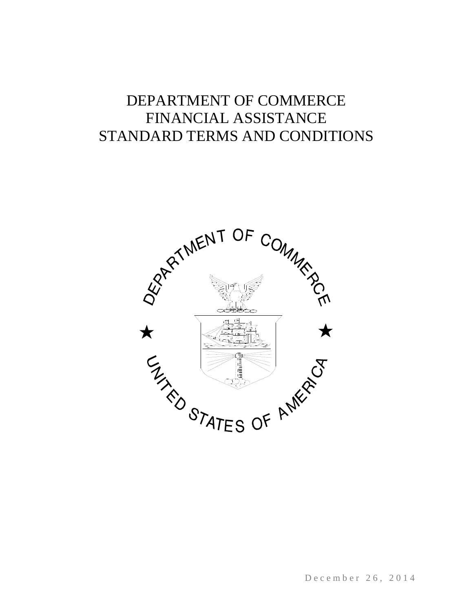# DEPARTMENT OF COMMERCE FINANCIAL ASSISTANCE STANDARD TERMS AND CONDITIONS



December 26, 2014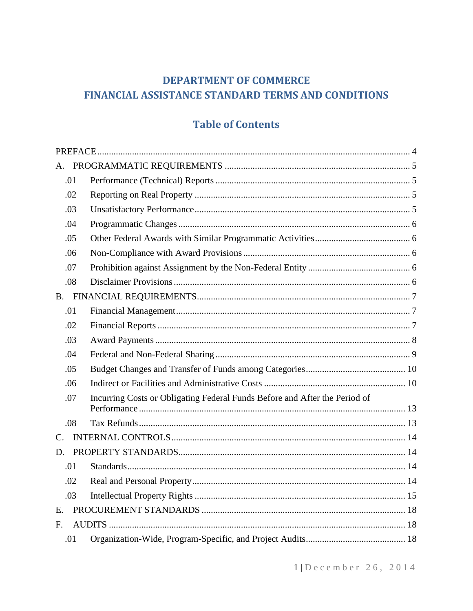# **DEPARTMENT OF COMMERCE** FINANCIAL ASSISTANCE STANDARD TERMS AND CONDITIONS

# **Table of Contents**

| Α.          |                                                                            |  |
|-------------|----------------------------------------------------------------------------|--|
| .01         |                                                                            |  |
| .02         |                                                                            |  |
| .03         |                                                                            |  |
| .04         |                                                                            |  |
| .05         |                                                                            |  |
| .06         |                                                                            |  |
| .07         |                                                                            |  |
| .08         |                                                                            |  |
|             |                                                                            |  |
| .01         |                                                                            |  |
| .02         |                                                                            |  |
| .03         |                                                                            |  |
| .04         |                                                                            |  |
| .05         |                                                                            |  |
| .06         |                                                                            |  |
| .07         | Incurring Costs or Obligating Federal Funds Before and After the Period of |  |
| .08         |                                                                            |  |
| $C_{\cdot}$ |                                                                            |  |
| D.          |                                                                            |  |
| .01         |                                                                            |  |
| .02         |                                                                            |  |
| .03         |                                                                            |  |
| Е.          |                                                                            |  |
| $F_{\cdot}$ |                                                                            |  |
| .01         |                                                                            |  |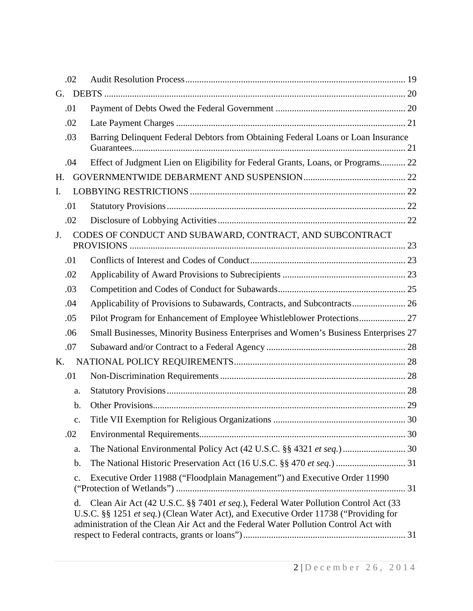| .02            |                                                                                                                                                                                                                                                                    |  |
|----------------|--------------------------------------------------------------------------------------------------------------------------------------------------------------------------------------------------------------------------------------------------------------------|--|
| G.             |                                                                                                                                                                                                                                                                    |  |
| .01            |                                                                                                                                                                                                                                                                    |  |
| .02            |                                                                                                                                                                                                                                                                    |  |
| .03            | Barring Delinquent Federal Debtors from Obtaining Federal Loans or Loan Insurance                                                                                                                                                                                  |  |
| .04            | Effect of Judgment Lien on Eligibility for Federal Grants, Loans, or Programs 22                                                                                                                                                                                   |  |
| Η.             |                                                                                                                                                                                                                                                                    |  |
| I.             |                                                                                                                                                                                                                                                                    |  |
| .01            |                                                                                                                                                                                                                                                                    |  |
| .02            |                                                                                                                                                                                                                                                                    |  |
| J.             | CODES OF CONDUCT AND SUBAWARD, CONTRACT, AND SUBCONTRACT                                                                                                                                                                                                           |  |
| .01            |                                                                                                                                                                                                                                                                    |  |
| .02            |                                                                                                                                                                                                                                                                    |  |
| .03            |                                                                                                                                                                                                                                                                    |  |
| .04            | Applicability of Provisions to Subawards, Contracts, and Subcontracts 26                                                                                                                                                                                           |  |
| .05            | Pilot Program for Enhancement of Employee Whistleblower Protections 27                                                                                                                                                                                             |  |
| .06            | Small Businesses, Minority Business Enterprises and Women's Business Enterprises 27                                                                                                                                                                                |  |
| .07            |                                                                                                                                                                                                                                                                    |  |
| K.             |                                                                                                                                                                                                                                                                    |  |
| .01            |                                                                                                                                                                                                                                                                    |  |
| a.             |                                                                                                                                                                                                                                                                    |  |
| $\mathbf b$ .  |                                                                                                                                                                                                                                                                    |  |
| $\mathbf{C}$ . |                                                                                                                                                                                                                                                                    |  |
| .02            |                                                                                                                                                                                                                                                                    |  |
| a.             | The National Environmental Policy Act (42 U.S.C. §§ 4321 et seq.)  30                                                                                                                                                                                              |  |
| b.             | The National Historic Preservation Act (16 U.S.C. §§ 470 et seq.)  31                                                                                                                                                                                              |  |
| c.             | Executive Order 11988 ("Floodplain Management") and Executive Order 11990                                                                                                                                                                                          |  |
| d.             | Clean Air Act (42 U.S.C. §§ 7401 et seq.), Federal Water Pollution Control Act (33<br>U.S.C. §§ 1251 et seq.) (Clean Water Act), and Executive Order 11738 ("Providing for<br>administration of the Clean Air Act and the Federal Water Pollution Control Act with |  |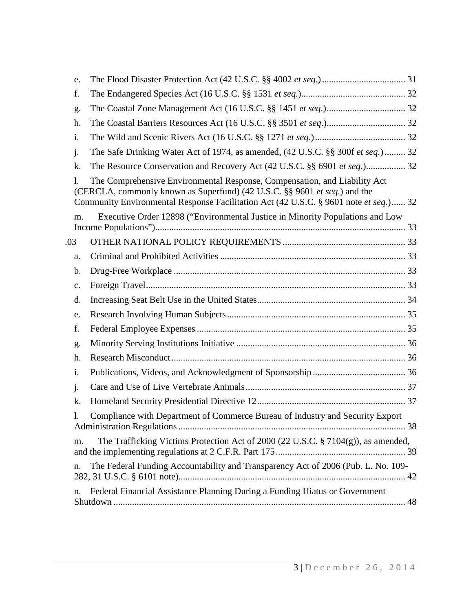| e.             |                                                                                                                                                                                                                                                |  |
|----------------|------------------------------------------------------------------------------------------------------------------------------------------------------------------------------------------------------------------------------------------------|--|
| f.             |                                                                                                                                                                                                                                                |  |
| g.             |                                                                                                                                                                                                                                                |  |
| h.             |                                                                                                                                                                                                                                                |  |
| i.             |                                                                                                                                                                                                                                                |  |
| $\mathbf{j}$ . | The Safe Drinking Water Act of 1974, as amended, (42 U.S.C. §§ 300f et seq.)  32                                                                                                                                                               |  |
| k.             | The Resource Conservation and Recovery Act (42 U.S.C. §§ 6901 et seq.) 32                                                                                                                                                                      |  |
| 1.             | The Comprehensive Environmental Response, Compensation, and Liability Act<br>(CERCLA, commonly known as Superfund) (42 U.S.C. §§ 9601 et seq.) and the<br>Community Environmental Response Facilitation Act (42 U.S.C. § 9601 note et seq.) 32 |  |
| m.             | Executive Order 12898 ("Environmental Justice in Minority Populations and Low                                                                                                                                                                  |  |
| .03            |                                                                                                                                                                                                                                                |  |
| a.             |                                                                                                                                                                                                                                                |  |
| b.             |                                                                                                                                                                                                                                                |  |
| $C_{\bullet}$  |                                                                                                                                                                                                                                                |  |
| d.             |                                                                                                                                                                                                                                                |  |
| e.             |                                                                                                                                                                                                                                                |  |
| f.             |                                                                                                                                                                                                                                                |  |
| g.             |                                                                                                                                                                                                                                                |  |
| h.             |                                                                                                                                                                                                                                                |  |
| i.             |                                                                                                                                                                                                                                                |  |
| $\mathbf{j}$ . |                                                                                                                                                                                                                                                |  |
| k.             |                                                                                                                                                                                                                                                |  |
| 1.             | Compliance with Department of Commerce Bureau of Industry and Security Export                                                                                                                                                                  |  |
| m.             | The Trafficking Victims Protection Act of 2000 (22 U.S.C. § 7104(g)), as amended,                                                                                                                                                              |  |
| n.             | The Federal Funding Accountability and Transparency Act of 2006 (Pub. L. No. 109-                                                                                                                                                              |  |
| n.             | Federal Financial Assistance Planning During a Funding Hiatus or Government                                                                                                                                                                    |  |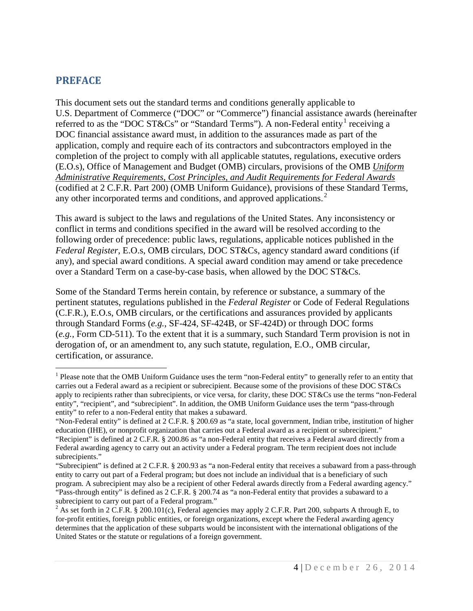### <span id="page-4-0"></span>**PREFACE**

This document sets out the standard terms and conditions generally applicable to U.S. Department of Commerce ("DOC" or "Commerce") financial assistance awards (hereinafter referred to as the "DOC ST&Cs" or "Standard Terms"). A non-Federal entity receiving a DOC financial assistance award must, in addition to the assurances made as part of the application, comply and require each of its contractors and subcontractors employed in the completion of the project to comply with all applicable statutes, regulations, executive orders (E.O.s), Office of Management and Budget (OMB) circulars, provisions of the OMB *Uniform Administrative Requirements, Cost Principles, and Audit Requirements for Federal Awards* (codified at 2 C.F.R. Part 200) (OMB Uniform Guidance), provisions of these Standard Terms, any other incorporated terms and conditions, and approved applications. $2$ 

This award is subject to the laws and regulations of the United States. Any inconsistency or conflict in terms and conditions specified in the award will be resolved according to the following order of precedence: public laws, regulations, applicable notices published in the *Federal Register*, E.O.s, OMB circulars, DOC ST&Cs, agency standard award conditions (if any), and special award conditions. A special award condition may amend or take precedence over a Standard Term on a case-by-case basis, when allowed by the DOC ST&Cs.

Some of the Standard Terms herein contain, by reference or substance, a summary of the pertinent statutes, regulations published in the *Federal Register* or Code of Federal Regulations (C.F.R.), E.O.s, OMB circulars, or the certifications and assurances provided by applicants through Standard Forms (*e.g.*, SF-424, SF-424B, or SF-424D) or through DOC forms (*e.g.,* Form CD-511). To the extent that it is a summary, such Standard Term provision is not in derogation of, or an amendment to, any such statute, regulation, E.O., OMB circular, certification, or assurance.

<sup>&</sup>lt;sup>1</sup> Please note that the OMB Uniform Guidance uses the term "non-Federal entity" to generally refer to an entity that carries out a Federal award as a recipient or subrecipient. Because some of the provisions of these DOC ST&Cs apply to recipients rather than subrecipients, or vice versa, for clarity, these DOC ST&Cs use the terms "non-Federal entity", "recipient", and "subrecipient". In addition, the OMB Uniform Guidance uses the term "pass-through entity" to refer to a non-Federal entity that makes a subaward.  $\overline{a}$ 

<sup>&</sup>quot;Non-Federal entity" is defined at 2 C.F.R. § 200.69 as "a state, local government, Indian tribe, institution of higher education (IHE), or nonprofit organization that carries out a Federal award as a recipient or subrecipient." "Recipient" is defined at 2 C.F.R. § 200.86 as "a non-Federal entity that receives a Federal award directly from a Federal awarding agency to carry out an activity under a Federal program. The term recipient does not include subrecipients."

<sup>&</sup>quot;Subrecipient" is defined at 2 C.F.R. § 200.93 as "a non-Federal entity that receives a subaward from a pass-through entity to carry out part of a Federal program; but does not include an individual that is a beneficiary of such program. A subrecipient may also be a recipient of other Federal awards directly from a Federal awarding agency." "Pass-through entity" is defined as 2 C.F.R. § 200.74 as "a non-Federal entity that provides a subaward to a subrecipient to carry out part of a Federal program."

<sup>&</sup>lt;sup>2</sup> As set forth in 2 C.F.R. § 200.101(c), Federal agencies may apply 2 C.F.R. Part 200, subparts A through E, to for-profit entities, foreign public entities, or foreign organizations, except where the Federal awarding agency determines that the application of these subparts would be inconsistent with the international obligations of the United States or the statute or regulations of a foreign government.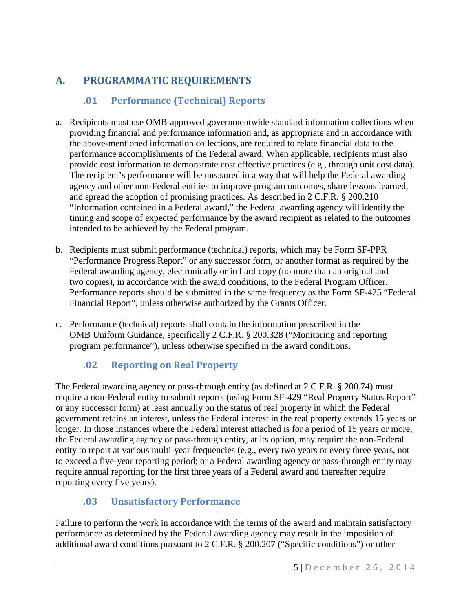# <span id="page-5-0"></span>**A. PROGRAMMATIC REQUIREMENTS**

# <span id="page-5-1"></span>**.01 Performance (Technical) Reports**

- a. Recipients must use OMB-approved governmentwide standard information collections when providing financial and performance information and, as appropriate and in accordance with the above-mentioned information collections, are required to relate financial data to the performance accomplishments of the Federal award. When applicable, recipients must also provide cost information to demonstrate cost effective practices (e.g., through unit cost data). The recipient's performance will be measured in a way that will help the Federal awarding agency and other non-Federal entities to improve program outcomes, share lessons learned, and spread the adoption of promising practices. As described in 2 C.F.R. § 200.210 "Information contained in a Federal award," the Federal awarding agency will identify the timing and scope of expected performance by the award recipient as related to the outcomes intended to be achieved by the Federal program.
- b. Recipients must submit performance (technical) reports, which may be Form SF-PPR "Performance Progress Report" or any successor form, or another format as required by the Federal awarding agency, electronically or in hard copy (no more than an original and two copies), in accordance with the award conditions, to the Federal Program Officer. Performance reports should be submitted in the same frequency as the Form SF-425 "Federal Financial Report", unless otherwise authorized by the Grants Officer.
- c. Performance (technical) reports shall contain the information prescribed in the OMB Uniform Guidance, specifically 2 C.F.R. § 200.328 ("Monitoring and reporting program performance"), unless otherwise specified in the award conditions.

# **.02 Reporting on Real Property**

<span id="page-5-2"></span>The Federal awarding agency or pass-through entity (as defined at 2 C.F.R. § 200.74) must require a non-Federal entity to submit reports (using Form SF-429 "Real Property Status Report" or any successor form) at least annually on the status of real property in which the Federal government retains an interest, unless the Federal interest in the real property extends 15 years or longer. In those instances where the Federal interest attached is for a period of 15 years or more, the Federal awarding agency or pass-through entity, at its option, may require the non-Federal entity to report at various multi-year frequencies (e.g., every two years or every three years, not to exceed a five-year reporting period; or a Federal awarding agency or pass-through entity may require annual reporting for the first three years of a Federal award and thereafter require reporting every five years).

# <span id="page-5-3"></span>**.03 Unsatisfactory Performance**

Failure to perform the work in accordance with the terms of the award and maintain satisfactory performance as determined by the Federal awarding agency may result in the imposition of additional award conditions pursuant to 2 C.F.R. § 200.207 ("Specific conditions") or other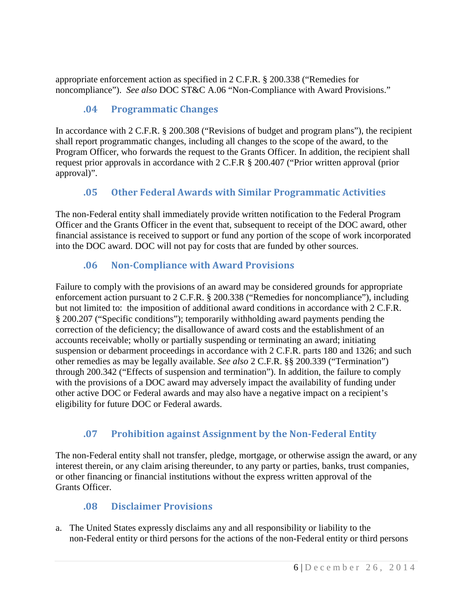appropriate enforcement action as specified in 2 C.F.R. § 200.338 ("Remedies for noncompliance"). *See also* DOC ST&C A.06 "Non-Compliance with Award Provisions."

# <span id="page-6-0"></span>**.04 Programmatic Changes**

In accordance with 2 C.F.R. § 200.308 ("Revisions of budget and program plans"), the recipient shall report programmatic changes, including all changes to the scope of the award, to the Program Officer, who forwards the request to the Grants Officer. In addition, the recipient shall request prior approvals in accordance with 2 C.F.R § 200.407 ("Prior written approval (prior approval)".

# <span id="page-6-1"></span>**.05 Other Federal Awards with Similar Programmatic Activities**

The non-Federal entity shall immediately provide written notification to the Federal Program Officer and the Grants Officer in the event that, subsequent to receipt of the DOC award, other financial assistance is received to support or fund any portion of the scope of work incorporated into the DOC award. DOC will not pay for costs that are funded by other sources.

# <span id="page-6-2"></span>**.06 Non-Compliance with Award Provisions**

Failure to comply with the provisions of an award may be considered grounds for appropriate enforcement action pursuant to 2 C.F.R. § 200.338 ("Remedies for noncompliance"), including but not limited to: the imposition of additional award conditions in accordance with 2 C.F.R. § 200.207 ("Specific conditions"); temporarily withholding award payments pending the correction of the deficiency; the disallowance of award costs and the establishment of an accounts receivable; wholly or partially suspending or terminating an award; initiating suspension or debarment proceedings in accordance with 2 C.F.R. parts 180 and 1326; and such other remedies as may be legally available. *See also* 2 C.F.R. §§ 200.339 ("Termination") through 200.342 ("Effects of suspension and termination"). In addition, the failure to comply with the provisions of a DOC award may adversely impact the availability of funding under other active DOC or Federal awards and may also have a negative impact on a recipient's eligibility for future DOC or Federal awards.

# <span id="page-6-3"></span>**.07 Prohibition against Assignment by the Non-Federal Entity**

The non-Federal entity shall not transfer, pledge, mortgage, or otherwise assign the award, or any interest therein, or any claim arising thereunder, to any party or parties, banks, trust companies, or other financing or financial institutions without the express written approval of the Grants Officer.

### <span id="page-6-4"></span>**.08 Disclaimer Provisions**

a. The United States expressly disclaims any and all responsibility or liability to the non-Federal entity or third persons for the actions of the non-Federal entity or third persons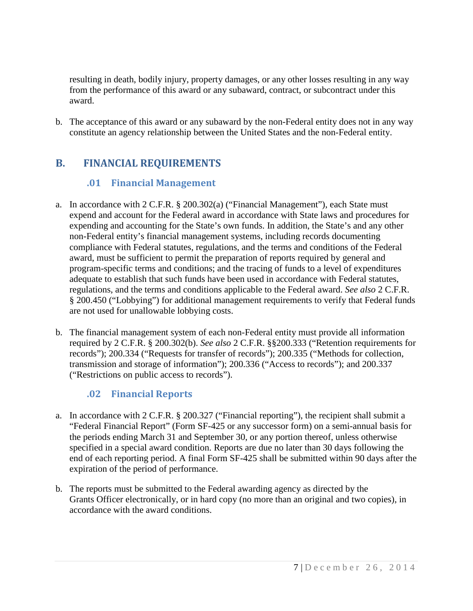resulting in death, bodily injury, property damages, or any other losses resulting in any way from the performance of this award or any subaward, contract, or subcontract under this award.

b. The acceptance of this award or any subaward by the non-Federal entity does not in any way constitute an agency relationship between the United States and the non-Federal entity.

# <span id="page-7-1"></span><span id="page-7-0"></span>**B. FINANCIAL REQUIREMENTS**

## **.01 Financial Management**

- a. In accordance with 2 C.F.R. § 200.302(a) ("Financial Management"), each State must expend and account for the Federal award in accordance with State laws and procedures for expending and accounting for the State's own funds. In addition, the State's and any other non-Federal entity's financial management systems, including records documenting compliance with Federal statutes, regulations, and the terms and conditions of the Federal award, must be sufficient to permit the preparation of reports required by general and program-specific terms and conditions; and the tracing of funds to a level of expenditures adequate to establish that such funds have been used in accordance with Federal statutes, regulations, and the terms and conditions applicable to the Federal award. *See also* 2 C.F.R. § 200.450 ("Lobbying") for additional management requirements to verify that Federal funds are not used for unallowable lobbying costs.
- b. The financial management system of each non-Federal entity must provide all information required by 2 C.F.R. § 200.302(b). *See also* 2 C.F.R. §§200.333 ("Retention requirements for records"); 200.334 ("Requests for transfer of records"); 200.335 ("Methods for collection, transmission and storage of information"); 200.336 ("Access to records"); and 200.337 ("Restrictions on public access to records").

# **.02 Financial Reports**

- <span id="page-7-2"></span>a. In accordance with 2 C.F.R. § 200.327 ("Financial reporting"), the recipient shall submit a "Federal Financial Report" (Form SF-425 or any successor form) on a semi-annual basis for the periods ending March 31 and September 30, or any portion thereof, unless otherwise specified in a special award condition. Reports are due no later than 30 days following the end of each reporting period. A final Form SF-425 shall be submitted within 90 days after the expiration of the period of performance.
- b. The reports must be submitted to the Federal awarding agency as directed by the Grants Officer electronically, or in hard copy (no more than an original and two copies), in accordance with the award conditions.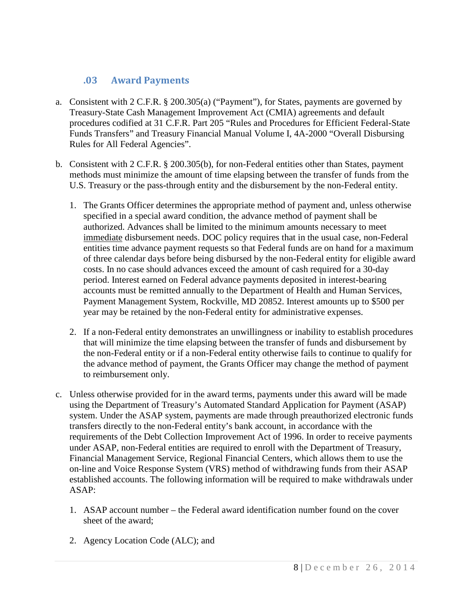### <span id="page-8-0"></span>**.03 Award Payments**

- a. Consistent with 2 C.F.R. § 200.305(a) ("Payment"), for States, payments are governed by Treasury-State Cash Management Improvement Act (CMIA) agreements and default procedures codified at 31 C.F.R. Part 205 "Rules and Procedures for Efficient Federal-State Funds Transfers" and Treasury Financial Manual Volume I, 4A-2000 "Overall Disbursing Rules for All Federal Agencies".
- b. Consistent with 2 C.F.R. § 200.305(b), for non-Federal entities other than States, payment methods must minimize the amount of time elapsing between the transfer of funds from the U.S. Treasury or the pass-through entity and the disbursement by the non-Federal entity.
	- 1. The Grants Officer determines the appropriate method of payment and, unless otherwise specified in a special award condition, the advance method of payment shall be authorized. Advances shall be limited to the minimum amounts necessary to meet immediate disbursement needs. DOC policy requires that in the usual case, non-Federal entities time advance payment requests so that Federal funds are on hand for a maximum of three calendar days before being disbursed by the non-Federal entity for eligible award costs. In no case should advances exceed the amount of cash required for a 30-day period. Interest earned on Federal advance payments deposited in interest-bearing accounts must be remitted annually to the Department of Health and Human Services, Payment Management System, Rockville, MD 20852. Interest amounts up to \$500 per year may be retained by the non-Federal entity for administrative expenses.
	- 2. If a non-Federal entity demonstrates an unwillingness or inability to establish procedures that will minimize the time elapsing between the transfer of funds and disbursement by the non-Federal entity or if a non-Federal entity otherwise fails to continue to qualify for the advance method of payment, the Grants Officer may change the method of payment to reimbursement only.
- c. Unless otherwise provided for in the award terms, payments under this award will be made using the Department of Treasury's Automated Standard Application for Payment (ASAP) system. Under the ASAP system, payments are made through preauthorized electronic funds transfers directly to the non-Federal entity's bank account, in accordance with the requirements of the Debt Collection Improvement Act of 1996. In order to receive payments under ASAP, non-Federal entities are required to enroll with the Department of Treasury, Financial Management Service, Regional Financial Centers, which allows them to use the on-line and Voice Response System (VRS) method of withdrawing funds from their ASAP established accounts. The following information will be required to make withdrawals under ASAP:
	- 1. ASAP account number the Federal award identification number found on the cover sheet of the award;
	- 2. Agency Location Code (ALC); and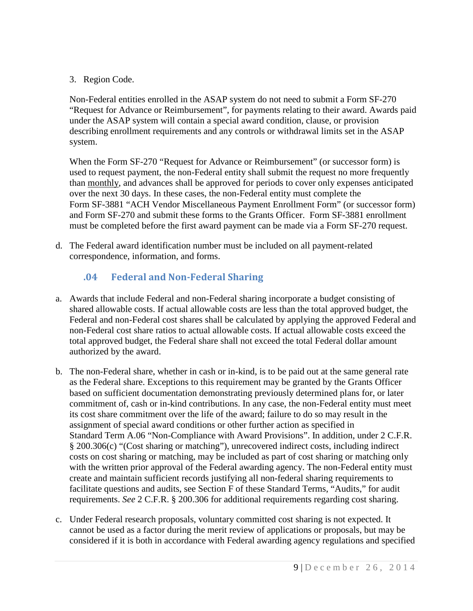3. Region Code.

Non-Federal entities enrolled in the ASAP system do not need to submit a Form SF-270 "Request for Advance or Reimbursement", for payments relating to their award. Awards paid under the ASAP system will contain a special award condition, clause, or provision describing enrollment requirements and any controls or withdrawal limits set in the ASAP system.

When the Form SF-270 "Request for Advance or Reimbursement" (or successor form) is used to request payment, the non-Federal entity shall submit the request no more frequently than monthly, and advances shall be approved for periods to cover only expenses anticipated over the next 30 days. In these cases, the non-Federal entity must complete the Form SF-3881 "ACH Vendor Miscellaneous Payment Enrollment Form" (or successor form) and Form SF-270 and submit these forms to the Grants Officer. Form SF-3881 enrollment must be completed before the first award payment can be made via a Form SF-270 request.

d. The Federal award identification number must be included on all payment-related correspondence, information, and forms.

# <span id="page-9-0"></span>**.04 Federal and Non-Federal Sharing**

- a. Awards that include Federal and non-Federal sharing incorporate a budget consisting of shared allowable costs. If actual allowable costs are less than the total approved budget, the Federal and non-Federal cost shares shall be calculated by applying the approved Federal and non-Federal cost share ratios to actual allowable costs. If actual allowable costs exceed the total approved budget, the Federal share shall not exceed the total Federal dollar amount authorized by the award.
- b. The non-Federal share, whether in cash or in-kind, is to be paid out at the same general rate as the Federal share. Exceptions to this requirement may be granted by the Grants Officer based on sufficient documentation demonstrating previously determined plans for, or later commitment of, cash or in-kind contributions. In any case, the non-Federal entity must meet its cost share commitment over the life of the award; failure to do so may result in the assignment of special award conditions or other further action as specified in Standard Term A.06 "Non-Compliance with Award Provisions". In addition, under 2 C.F.R. § 200.306(c) "(Cost sharing or matching"), unrecovered indirect costs, including indirect costs on cost sharing or matching, may be included as part of cost sharing or matching only with the written prior approval of the Federal awarding agency. The non-Federal entity must create and maintain sufficient records justifying all non-federal sharing requirements to facilitate questions and audits, see Section F of these Standard Terms, "Audits," for audit requirements. *See* 2 C.F.R. § 200.306 for additional requirements regarding cost sharing.
- c. Under Federal research proposals, voluntary committed cost sharing is not expected. It cannot be used as a factor during the merit review of applications or proposals, but may be considered if it is both in accordance with Federal awarding agency regulations and specified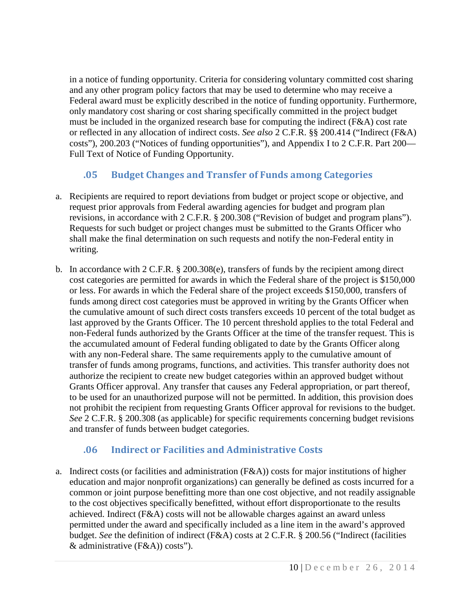in a notice of funding opportunity. Criteria for considering voluntary committed cost sharing and any other program policy factors that may be used to determine who may receive a Federal award must be explicitly described in the notice of funding opportunity. Furthermore, only mandatory cost sharing or cost sharing specifically committed in the project budget must be included in the organized research base for computing the indirect (F&A) cost rate or reflected in any allocation of indirect costs. *See also* 2 C.F.R. §§ 200.414 ("Indirect (F&A) costs"), 200.203 ("Notices of funding opportunities"), and Appendix I to 2 C.F.R. Part 200— Full Text of Notice of Funding Opportunity.

# <span id="page-10-0"></span>**.05 Budget Changes and Transfer of Funds among Categories**

- a. Recipients are required to report deviations from budget or project scope or objective, and request prior approvals from Federal awarding agencies for budget and program plan revisions, in accordance with 2 C.F.R. § 200.308 ("Revision of budget and program plans"). Requests for such budget or project changes must be submitted to the Grants Officer who shall make the final determination on such requests and notify the non-Federal entity in writing.
- b. In accordance with 2 C.F.R. § 200.308(e), transfers of funds by the recipient among direct cost categories are permitted for awards in which the Federal share of the project is \$150,000 or less. For awards in which the Federal share of the project exceeds \$150,000, transfers of funds among direct cost categories must be approved in writing by the Grants Officer when the cumulative amount of such direct costs transfers exceeds 10 percent of the total budget as last approved by the Grants Officer. The 10 percent threshold applies to the total Federal and non-Federal funds authorized by the Grants Officer at the time of the transfer request. This is the accumulated amount of Federal funding obligated to date by the Grants Officer along with any non-Federal share. The same requirements apply to the cumulative amount of transfer of funds among programs, functions, and activities. This transfer authority does not authorize the recipient to create new budget categories within an approved budget without Grants Officer approval. Any transfer that causes any Federal appropriation, or part thereof, to be used for an unauthorized purpose will not be permitted. In addition, this provision does not prohibit the recipient from requesting Grants Officer approval for revisions to the budget. *See* 2 C.F.R. § 200.308 (as applicable) for specific requirements concerning budget revisions and transfer of funds between budget categories.

### <span id="page-10-1"></span>**.06 Indirect or Facilities and Administrative Costs**

a. Indirect costs (or facilities and administration (F&A)) costs for major institutions of higher education and major nonprofit organizations) can generally be defined as costs incurred for a common or joint purpose benefitting more than one cost objective, and not readily assignable to the cost objectives specifically benefitted, without effort disproportionate to the results achieved. Indirect (F&A) costs will not be allowable charges against an award unless permitted under the award and specifically included as a line item in the award's approved budget. *See* the definition of indirect (F&A) costs at 2 C.F.R. § 200.56 ("Indirect (facilities & administrative (F&A)) costs").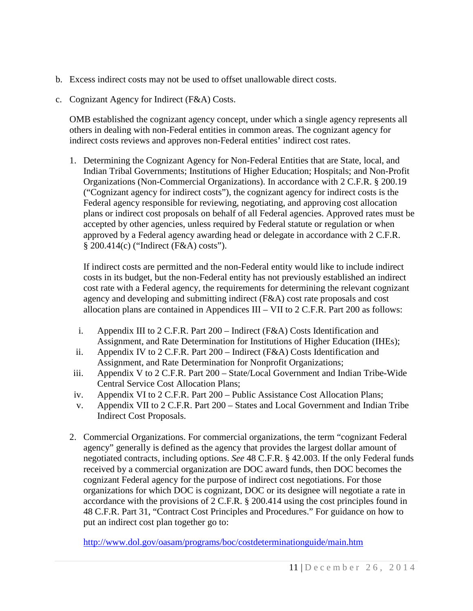- b. Excess indirect costs may not be used to offset unallowable direct costs.
- c. Cognizant Agency for Indirect (F&A) Costs.

OMB established the cognizant agency concept, under which a single agency represents all others in dealing with non-Federal entities in common areas. The cognizant agency for indirect costs reviews and approves non-Federal entities' indirect cost rates.

1. Determining the Cognizant Agency for Non-Federal Entities that are State, local, and Indian Tribal Governments; Institutions of Higher Education; Hospitals; and Non-Profit Organizations (Non-Commercial Organizations). In accordance with 2 C.F.R. § 200.19 ("Cognizant agency for indirect costs"), the cognizant agency for indirect costs is the Federal agency responsible for reviewing, negotiating, and approving cost allocation plans or indirect cost proposals on behalf of all Federal agencies. Approved rates must be accepted by other agencies, unless required by Federal statute or regulation or when approved by a Federal agency awarding head or delegate in accordance with 2 C.F.R. § 200.414(c) ("Indirect (F&A) costs").

If indirect costs are permitted and the non-Federal entity would like to include indirect costs in its budget, but the non-Federal entity has not previously established an indirect cost rate with a Federal agency, the requirements for determining the relevant cognizant agency and developing and submitting indirect (F&A) cost rate proposals and cost allocation plans are contained in Appendices III – VII to  $2$  C.F.R. Part 200 as follows:

- i. Appendix III to 2 C.F.R. Part 200 Indirect (F&A) Costs Identification and Assignment, and Rate Determination for Institutions of Higher Education (IHEs);
- ii. Appendix IV to 2 C.F.R. Part 200 Indirect (F&A) Costs Identification and Assignment, and Rate Determination for Nonprofit Organizations;
- iii. Appendix V to 2 C.F.R. Part 200 State/Local Government and Indian Tribe-Wide Central Service Cost Allocation Plans;
- iv. Appendix VI to 2 C.F.R. Part 200 Public Assistance Cost Allocation Plans;
- v. Appendix VII to 2 C.F.R. Part 200 States and Local Government and Indian Tribe Indirect Cost Proposals.
- 2. Commercial Organizations. For commercial organizations, the term "cognizant Federal agency" generally is defined as the agency that provides the largest dollar amount of negotiated contracts, including options. *See* 48 C.F.R. § 42.003. If the only Federal funds received by a commercial organization are DOC award funds, then DOC becomes the cognizant Federal agency for the purpose of indirect cost negotiations. For those organizations for which DOC is cognizant, DOC or its designee will negotiate a rate in accordance with the provisions of 2 C.F.R. § 200.414 using the cost principles found in 48 C.F.R. Part 31, "Contract Cost Principles and Procedures." For guidance on how to put an indirect cost plan together go to:

<http://www.dol.gov/oasam/programs/boc/costdeterminationguide/main.htm>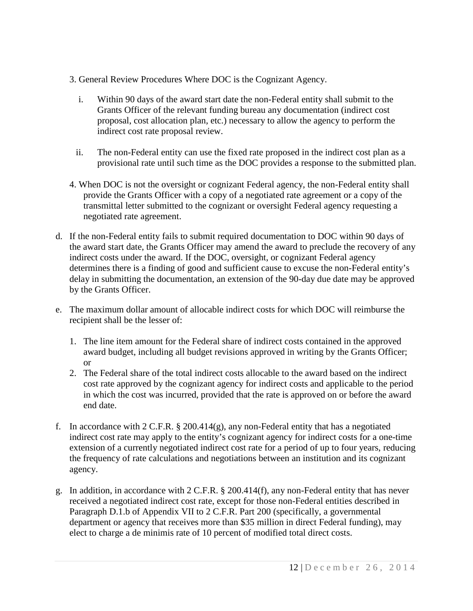- 3. General Review Procedures Where DOC is the Cognizant Agency.
	- i. Within 90 days of the award start date the non-Federal entity shall submit to the Grants Officer of the relevant funding bureau any documentation (indirect cost proposal, cost allocation plan, etc.) necessary to allow the agency to perform the indirect cost rate proposal review.
	- ii. The non-Federal entity can use the fixed rate proposed in the indirect cost plan as a provisional rate until such time as the DOC provides a response to the submitted plan.
- 4. When DOC is not the oversight or cognizant Federal agency, the non-Federal entity shall provide the Grants Officer with a copy of a negotiated rate agreement or a copy of the transmittal letter submitted to the cognizant or oversight Federal agency requesting a negotiated rate agreement.
- d. If the non-Federal entity fails to submit required documentation to DOC within 90 days of the award start date, the Grants Officer may amend the award to preclude the recovery of any indirect costs under the award. If the DOC, oversight, or cognizant Federal agency determines there is a finding of good and sufficient cause to excuse the non-Federal entity's delay in submitting the documentation, an extension of the 90-day due date may be approved by the Grants Officer.
- e. The maximum dollar amount of allocable indirect costs for which DOC will reimburse the recipient shall be the lesser of:
	- 1. The line item amount for the Federal share of indirect costs contained in the approved award budget, including all budget revisions approved in writing by the Grants Officer; or
	- 2. The Federal share of the total indirect costs allocable to the award based on the indirect cost rate approved by the cognizant agency for indirect costs and applicable to the period in which the cost was incurred, provided that the rate is approved on or before the award end date.
- f. In accordance with 2 C.F.R. § 200.414(g), any non-Federal entity that has a negotiated indirect cost rate may apply to the entity's cognizant agency for indirect costs for a one-time extension of a currently negotiated indirect cost rate for a period of up to four years, reducing the frequency of rate calculations and negotiations between an institution and its cognizant agency.
- g. In addition, in accordance with 2 C.F.R. § 200.414(f), any non-Federal entity that has never received a negotiated indirect cost rate, except for those non-Federal entities described in Paragraph D.1.b of Appendix VII to 2 C.F.R. Part 200 (specifically, a governmental department or agency that receives more than \$35 million in direct Federal funding), may elect to charge a de minimis rate of 10 percent of modified total direct costs.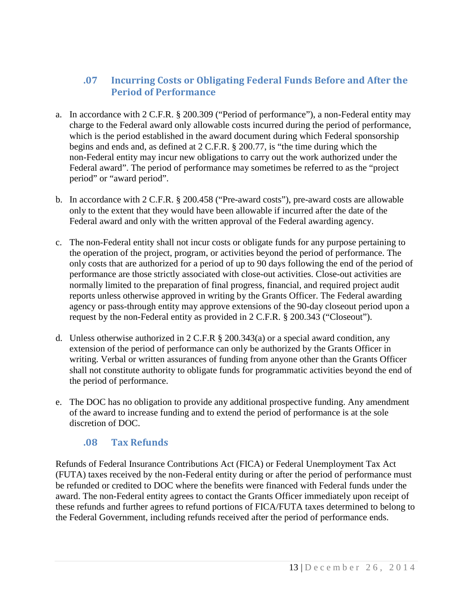### <span id="page-13-0"></span>**.07 Incurring Costs or Obligating Federal Funds Before and After the Period of Performance**

- a. In accordance with 2 C.F.R. § 200.309 ("Period of performance"), a non-Federal entity may charge to the Federal award only allowable costs incurred during the period of performance, which is the period established in the award document during which Federal sponsorship begins and ends and, as defined at 2 C.F.R. § 200.77, is "the time during which the non-Federal entity may incur new obligations to carry out the work authorized under the Federal award". The period of performance may sometimes be referred to as the "project period" or "award period".
- b. In accordance with 2 C.F.R. § 200.458 ("Pre-award costs"), pre-award costs are allowable only to the extent that they would have been allowable if incurred after the date of the Federal award and only with the written approval of the Federal awarding agency.
- c. The non-Federal entity shall not incur costs or obligate funds for any purpose pertaining to the operation of the project, program, or activities beyond the period of performance. The only costs that are authorized for a period of up to 90 days following the end of the period of performance are those strictly associated with close-out activities. Close-out activities are normally limited to the preparation of final progress, financial, and required project audit reports unless otherwise approved in writing by the Grants Officer. The Federal awarding agency or pass-through entity may approve extensions of the 90-day closeout period upon a request by the non-Federal entity as provided in 2 C.F.R. § 200.343 ("Closeout").
- d. Unless otherwise authorized in 2 C.F.R § 200.343(a) or a special award condition, any extension of the period of performance can only be authorized by the Grants Officer in writing. Verbal or written assurances of funding from anyone other than the Grants Officer shall not constitute authority to obligate funds for programmatic activities beyond the end of the period of performance.
- e. The DOC has no obligation to provide any additional prospective funding. Any amendment of the award to increase funding and to extend the period of performance is at the sole discretion of DOC.

### **.08 Tax Refunds**

<span id="page-13-1"></span>Refunds of Federal Insurance Contributions Act (FICA) or Federal Unemployment Tax Act (FUTA) taxes received by the non-Federal entity during or after the period of performance must be refunded or credited to DOC where the benefits were financed with Federal funds under the award. The non-Federal entity agrees to contact the Grants Officer immediately upon receipt of these refunds and further agrees to refund portions of FICA/FUTA taxes determined to belong to the Federal Government, including refunds received after the period of performance ends.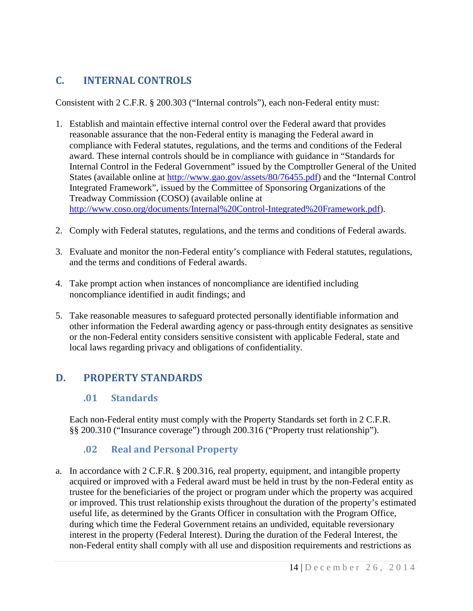# <span id="page-14-0"></span>**C. INTERNAL CONTROLS**

Consistent with 2 C.F.R. § 200.303 ("Internal controls"), each non-Federal entity must:

- 1. Establish and maintain effective internal control over the Federal award that provides reasonable assurance that the non-Federal entity is managing the Federal award in compliance with Federal statutes, regulations, and the terms and conditions of the Federal award. These internal controls should be in compliance with guidance in "Standards for Internal Control in the Federal Government" issued by the Comptroller General of the United States (available online at [http://www.gao.gov/assets/80/76455.pdf\)](http://www.gao.gov/assets/80/76455.pdf) and the "Internal Control Integrated Framework", issued by the Committee of Sponsoring Organizations of the Treadway Commission (COSO) (available online at [http://www.coso.org/documents/Internal%20Control-Integrated%20Framework.pdf\)](http://www.coso.org/documents/Internal%20Control-Integrated%20Framework.pdf).
- 2. Comply with Federal statutes, regulations, and the terms and conditions of Federal awards.
- 3. Evaluate and monitor the non-Federal entity's compliance with Federal statutes, regulations, and the terms and conditions of Federal awards.
- 4. Take prompt action when instances of noncompliance are identified including noncompliance identified in audit findings; and
- 5. Take reasonable measures to safeguard protected personally identifiable information and other information the Federal awarding agency or pass-through entity designates as sensitive or the non-Federal entity considers sensitive consistent with applicable Federal, state and local laws regarding privacy and obligations of confidentiality.

# <span id="page-14-2"></span><span id="page-14-1"></span>**D. PROPERTY STANDARDS**

### **.01 Standards**

Each non-Federal entity must comply with the Property Standards set forth in 2 C.F.R. §§ 200.310 ("Insurance coverage") through 200.316 ("Property trust relationship").

### <span id="page-14-3"></span>**.02 Real and Personal Property**

a. In accordance with 2 C.F.R. § 200.316, real property, equipment, and intangible property acquired or improved with a Federal award must be held in trust by the non-Federal entity as trustee for the beneficiaries of the project or program under which the property was acquired or improved. This trust relationship exists throughout the duration of the property's estimated useful life, as determined by the Grants Officer in consultation with the Program Office, during which time the Federal Government retains an undivided, equitable reversionary interest in the property (Federal Interest). During the duration of the Federal Interest, the non-Federal entity shall comply with all use and disposition requirements and restrictions as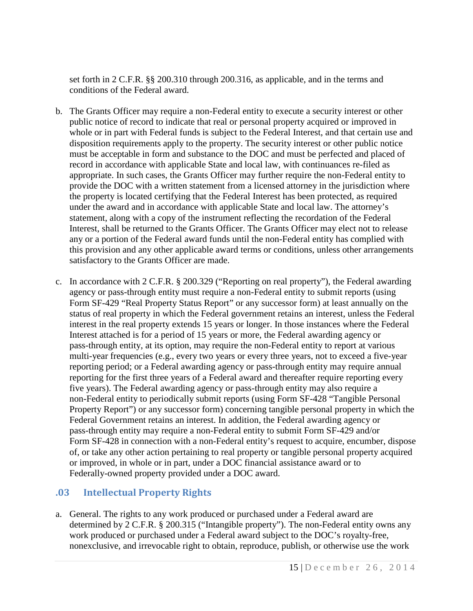set forth in 2 C.F.R. §§ 200.310 through 200.316, as applicable, and in the terms and conditions of the Federal award.

- b. The Grants Officer may require a non-Federal entity to execute a security interest or other public notice of record to indicate that real or personal property acquired or improved in whole or in part with Federal funds is subject to the Federal Interest, and that certain use and disposition requirements apply to the property. The security interest or other public notice must be acceptable in form and substance to the DOC and must be perfected and placed of record in accordance with applicable State and local law, with continuances re-filed as appropriate. In such cases, the Grants Officer may further require the non-Federal entity to provide the DOC with a written statement from a licensed attorney in the jurisdiction where the property is located certifying that the Federal Interest has been protected, as required under the award and in accordance with applicable State and local law. The attorney's statement, along with a copy of the instrument reflecting the recordation of the Federal Interest, shall be returned to the Grants Officer. The Grants Officer may elect not to release any or a portion of the Federal award funds until the non-Federal entity has complied with this provision and any other applicable award terms or conditions, unless other arrangements satisfactory to the Grants Officer are made.
- c. In accordance with 2 C.F.R. § 200.329 ("Reporting on real property"), the Federal awarding agency or pass-through entity must require a non-Federal entity to submit reports (using Form SF-429 "Real Property Status Report" or any successor form) at least annually on the status of real property in which the Federal government retains an interest, unless the Federal interest in the real property extends 15 years or longer. In those instances where the Federal Interest attached is for a period of 15 years or more, the Federal awarding agency or pass-through entity, at its option, may require the non-Federal entity to report at various multi-year frequencies (e.g., every two years or every three years, not to exceed a five-year reporting period; or a Federal awarding agency or pass-through entity may require annual reporting for the first three years of a Federal award and thereafter require reporting every five years). The Federal awarding agency or pass-through entity may also require a non-Federal entity to periodically submit reports (using Form SF-428 "Tangible Personal Property Report") or any successor form) concerning tangible personal property in which the Federal Government retains an interest. In addition, the Federal awarding agency or pass-through entity may require a non-Federal entity to submit Form SF-429 and/or Form SF-428 in connection with a non-Federal entity's request to acquire, encumber, dispose of, or take any other action pertaining to real property or tangible personal property acquired or improved, in whole or in part, under a DOC financial assistance award or to Federally-owned property provided under a DOC award.

### <span id="page-15-0"></span>**.03 Intellectual Property Rights**

a. General. The rights to any work produced or purchased under a Federal award are determined by 2 C.F.R. § 200.315 ("Intangible property"). The non-Federal entity owns any work produced or purchased under a Federal award subject to the DOC's royalty-free, nonexclusive, and irrevocable right to obtain, reproduce, publish, or otherwise use the work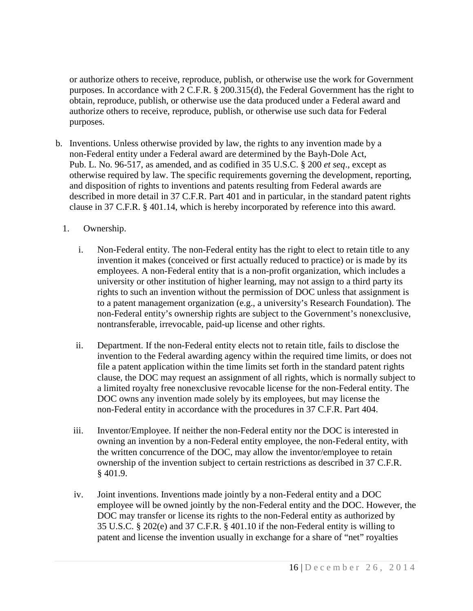or authorize others to receive, reproduce, publish, or otherwise use the work for Government purposes. In accordance with 2 C.F.R. § 200.315(d), the Federal Government has the right to obtain, reproduce, publish, or otherwise use the data produced under a Federal award and authorize others to receive, reproduce, publish, or otherwise use such data for Federal purposes.

- b. Inventions. Unless otherwise provided by law, the rights to any invention made by a non-Federal entity under a Federal award are determined by the Bayh-Dole Act, Pub. L. No. 96-517, as amended, and as codified in 35 U.S.C. § 200 *et seq*., except as otherwise required by law. The specific requirements governing the development, reporting, and disposition of rights to inventions and patents resulting from Federal awards are described in more detail in 37 C.F.R. Part 401 and in particular, in the standard patent rights clause in 37 C.F.R. § 401.14, which is hereby incorporated by reference into this award.
	- 1. Ownership.
		- i. Non-Federal entity. The non-Federal entity has the right to elect to retain title to any invention it makes (conceived or first actually reduced to practice) or is made by its employees. A non-Federal entity that is a non-profit organization, which includes a university or other institution of higher learning, may not assign to a third party its rights to such an invention without the permission of DOC unless that assignment is to a patent management organization (e.g., a university's Research Foundation). The non-Federal entity's ownership rights are subject to the Government's nonexclusive, nontransferable, irrevocable, paid-up license and other rights.
		- ii. Department. If the non-Federal entity elects not to retain title, fails to disclose the invention to the Federal awarding agency within the required time limits, or does not file a patent application within the time limits set forth in the standard patent rights clause, the DOC may request an assignment of all rights, which is normally subject to a limited royalty free nonexclusive revocable license for the non-Federal entity. The DOC owns any invention made solely by its employees, but may license the non-Federal entity in accordance with the procedures in 37 C.F.R. Part 404.
		- iii. Inventor/Employee. If neither the non-Federal entity nor the DOC is interested in owning an invention by a non-Federal entity employee, the non-Federal entity, with the written concurrence of the DOC, may allow the inventor/employee to retain ownership of the invention subject to certain restrictions as described in 37 C.F.R. § 401.9.
		- iv. Joint inventions. Inventions made jointly by a non-Federal entity and a DOC employee will be owned jointly by the non-Federal entity and the DOC. However, the DOC may transfer or license its rights to the non-Federal entity as authorized by 35 U.S.C. § 202(e) and 37 C.F.R. § 401.10 if the non-Federal entity is willing to patent and license the invention usually in exchange for a share of "net" royalties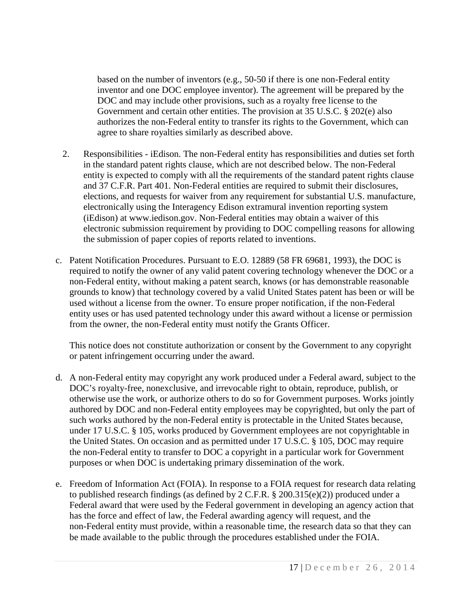based on the number of inventors (e.g., 50-50 if there is one non-Federal entity inventor and one DOC employee inventor). The agreement will be prepared by the DOC and may include other provisions, such as a royalty free license to the Government and certain other entities. The provision at 35 U.S.C. § 202(e) also authorizes the non-Federal entity to transfer its rights to the Government, which can agree to share royalties similarly as described above.

- 2. Responsibilities iEdison. The non-Federal entity has responsibilities and duties set forth in the standard patent rights clause, which are not described below. The non-Federal entity is expected to comply with all the requirements of the standard patent rights clause and 37 C.F.R. Part 401. Non-Federal entities are required to submit their disclosures, elections, and requests for waiver from any requirement for substantial U.S. manufacture, electronically using the Interagency Edison extramural invention reporting system (iEdison) at www.iedison.gov. Non-Federal entities may obtain a waiver of this electronic submission requirement by providing to DOC compelling reasons for allowing the submission of paper copies of reports related to inventions.
- c. Patent Notification Procedures. Pursuant to E.O. 12889 (58 FR 69681, 1993), the DOC is required to notify the owner of any valid patent covering technology whenever the DOC or a non-Federal entity, without making a patent search, knows (or has demonstrable reasonable grounds to know) that technology covered by a valid United States patent has been or will be used without a license from the owner. To ensure proper notification, if the non-Federal entity uses or has used patented technology under this award without a license or permission from the owner, the non-Federal entity must notify the Grants Officer.

This notice does not constitute authorization or consent by the Government to any copyright or patent infringement occurring under the award.

- d. A non-Federal entity may copyright any work produced under a Federal award, subject to the DOC's royalty-free, nonexclusive, and irrevocable right to obtain, reproduce, publish, or otherwise use the work, or authorize others to do so for Government purposes. Works jointly authored by DOC and non-Federal entity employees may be copyrighted, but only the part of such works authored by the non-Federal entity is protectable in the United States because, under 17 U.S.C. § 105, works produced by Government employees are not copyrightable in the United States. On occasion and as permitted under 17 U.S.C. § 105, DOC may require the non-Federal entity to transfer to DOC a copyright in a particular work for Government purposes or when DOC is undertaking primary dissemination of the work.
- e. Freedom of Information Act (FOIA). In response to a FOIA request for research data relating to published research findings (as defined by 2 C.F.R. § 200.315(e)(2)) produced under a Federal award that were used by the Federal government in developing an agency action that has the force and effect of law, the Federal awarding agency will request, and the non-Federal entity must provide, within a reasonable time, the research data so that they can be made available to the public through the procedures established under the FOIA.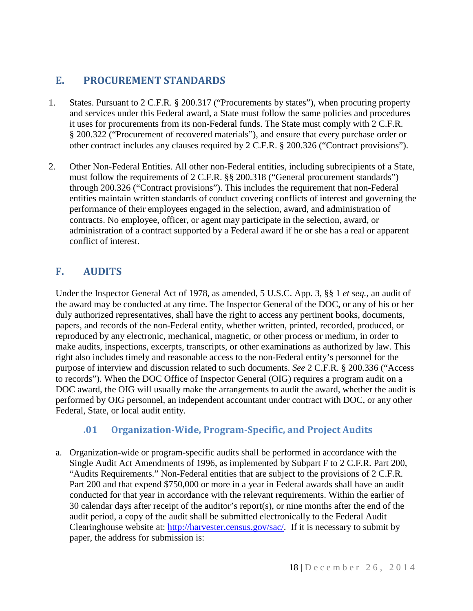# <span id="page-18-0"></span>**E. PROCUREMENT STANDARDS**

- 1. States. Pursuant to 2 C.F.R. § 200.317 ("Procurements by states"), when procuring property and services under this Federal award, a State must follow the same policies and procedures it uses for procurements from its non-Federal funds. The State must comply with 2 C.F.R. § 200.322 ("Procurement of recovered materials"), and ensure that every purchase order or other contract includes any clauses required by 2 C.F.R. § 200.326 ("Contract provisions").
- 2. Other Non-Federal Entities. All other non-Federal entities, including subrecipients of a State, must follow the requirements of 2 C.F.R. §§ 200.318 ("General procurement standards") through 200.326 ("Contract provisions"). This includes the requirement that non-Federal entities maintain written standards of conduct covering conflicts of interest and governing the performance of their employees engaged in the selection, award, and administration of contracts. No employee, officer, or agent may participate in the selection, award, or administration of a contract supported by a Federal award if he or she has a real or apparent conflict of interest.

# <span id="page-18-1"></span>**F. AUDITS**

Under the Inspector General Act of 1978, as amended, 5 U.S.C. App. 3, §§ 1 *et seq.,* an audit of the award may be conducted at any time. The Inspector General of the DOC, or any of his or her duly authorized representatives, shall have the right to access any pertinent books, documents, papers, and records of the non-Federal entity, whether written, printed, recorded, produced, or reproduced by any electronic, mechanical, magnetic, or other process or medium, in order to make audits, inspections, excerpts, transcripts, or other examinations as authorized by law. This right also includes timely and reasonable access to the non-Federal entity's personnel for the purpose of interview and discussion related to such documents. *See* 2 C.F.R. § 200.336 ("Access to records"). When the DOC Office of Inspector General (OIG) requires a program audit on a DOC award, the OIG will usually make the arrangements to audit the award, whether the audit is performed by OIG personnel, an independent accountant under contract with DOC, or any other Federal, State, or local audit entity.

### <span id="page-18-2"></span>**.01 Organization-Wide, Program-Specific, and Project Audits**

a. Organization-wide or program-specific audits shall be performed in accordance with the Single Audit Act Amendments of 1996, as implemented by Subpart F to 2 C.F.R. Part 200, "Audits Requirements." Non-Federal entities that are subject to the provisions of 2 C.F.R. Part 200 and that expend \$750,000 or more in a year in Federal awards shall have an audit conducted for that year in accordance with the relevant requirements. Within the earlier of 30 calendar days after receipt of the auditor's report(s), or nine months after the end of the audit period, a copy of the audit shall be submitted electronically to the Federal Audit Clearinghouse website at: [http://harvester.census.gov/sac/.](http://harvester.census.gov/sac/) If it is necessary to submit by paper, the address for submission is: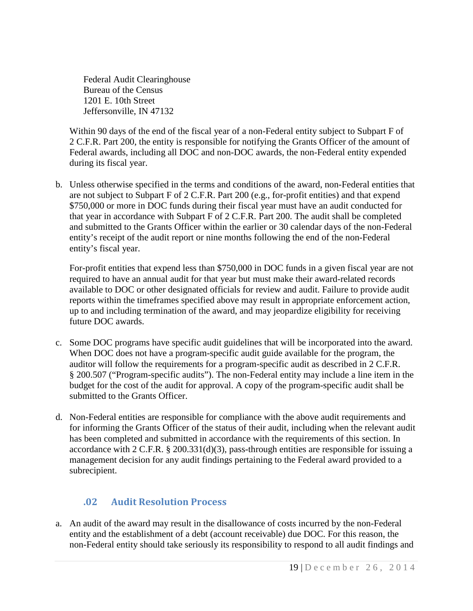Federal Audit Clearinghouse Bureau of the Census 1201 E. 10th Street Jeffersonville, IN 47132

Within 90 days of the end of the fiscal year of a non-Federal entity subject to Subpart F of 2 C.F.R. Part 200, the entity is responsible for notifying the Grants Officer of the amount of Federal awards, including all DOC and non-DOC awards, the non-Federal entity expended during its fiscal year.

b. Unless otherwise specified in the terms and conditions of the award, non-Federal entities that are not subject to Subpart F of 2 C.F.R. Part 200 (e.g., for-profit entities) and that expend \$750,000 or more in DOC funds during their fiscal year must have an audit conducted for that year in accordance with Subpart F of 2 C.F.R. Part 200. The audit shall be completed and submitted to the Grants Officer within the earlier or 30 calendar days of the non-Federal entity's receipt of the audit report or nine months following the end of the non-Federal entity's fiscal year.

For-profit entities that expend less than \$750,000 in DOC funds in a given fiscal year are not required to have an annual audit for that year but must make their award-related records available to DOC or other designated officials for review and audit. Failure to provide audit reports within the timeframes specified above may result in appropriate enforcement action, up to and including termination of the award, and may jeopardize eligibility for receiving future DOC awards.

- c. Some DOC programs have specific audit guidelines that will be incorporated into the award. When DOC does not have a program-specific audit guide available for the program, the auditor will follow the requirements for a program-specific audit as described in 2 C.F.R. § 200.507 ("Program-specific audits"). The non-Federal entity may include a line item in the budget for the cost of the audit for approval. A copy of the program-specific audit shall be submitted to the Grants Officer.
- d. Non-Federal entities are responsible for compliance with the above audit requirements and for informing the Grants Officer of the status of their audit, including when the relevant audit has been completed and submitted in accordance with the requirements of this section. In accordance with 2 C.F.R.  $\S 200.331(d)(3)$ , pass-through entities are responsible for issuing a management decision for any audit findings pertaining to the Federal award provided to a subrecipient.

# <span id="page-19-0"></span>**.02 Audit Resolution Process**

a. An audit of the award may result in the disallowance of costs incurred by the non-Federal entity and the establishment of a debt (account receivable) due DOC. For this reason, the non-Federal entity should take seriously its responsibility to respond to all audit findings and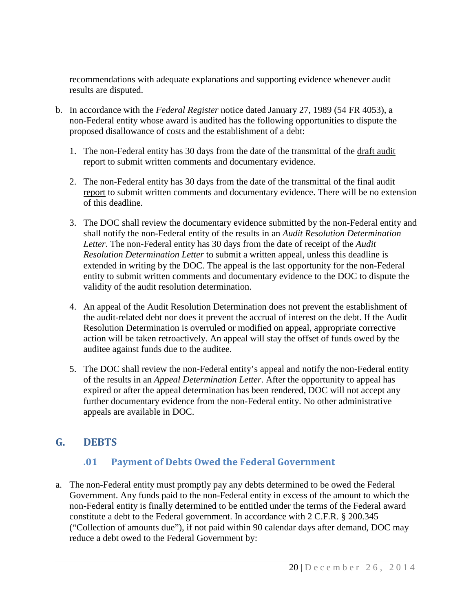recommendations with adequate explanations and supporting evidence whenever audit results are disputed.

- b. In accordance with the *Federal Register* notice dated January 27, 1989 (54 FR 4053), a non-Federal entity whose award is audited has the following opportunities to dispute the proposed disallowance of costs and the establishment of a debt:
	- 1. The non-Federal entity has 30 days from the date of the transmittal of the draft audit report to submit written comments and documentary evidence.
	- 2. The non-Federal entity has 30 days from the date of the transmittal of the final audit report to submit written comments and documentary evidence. There will be no extension of this deadline.
	- 3. The DOC shall review the documentary evidence submitted by the non-Federal entity and shall notify the non-Federal entity of the results in an *Audit Resolution Determination Letter*. The non-Federal entity has 30 days from the date of receipt of the *Audit Resolution Determination Letter* to submit a written appeal, unless this deadline is extended in writing by the DOC. The appeal is the last opportunity for the non-Federal entity to submit written comments and documentary evidence to the DOC to dispute the validity of the audit resolution determination.
	- 4. An appeal of the Audit Resolution Determination does not prevent the establishment of the audit-related debt nor does it prevent the accrual of interest on the debt. If the Audit Resolution Determination is overruled or modified on appeal, appropriate corrective action will be taken retroactively. An appeal will stay the offset of funds owed by the auditee against funds due to the auditee.
	- 5. The DOC shall review the non-Federal entity's appeal and notify the non-Federal entity of the results in an *Appeal Determination Letter*. After the opportunity to appeal has expired or after the appeal determination has been rendered, DOC will not accept any further documentary evidence from the non-Federal entity. No other administrative appeals are available in DOC.

# <span id="page-20-0"></span>**G. DEBTS**

### <span id="page-20-1"></span>**.01 Payment of Debts Owed the Federal Government**

a. The non-Federal entity must promptly pay any debts determined to be owed the Federal Government. Any funds paid to the non-Federal entity in excess of the amount to which the non-Federal entity is finally determined to be entitled under the terms of the Federal award constitute a debt to the Federal government. In accordance with 2 C.F.R. § 200.345 ("Collection of amounts due"), if not paid within 90 calendar days after demand, DOC may reduce a debt owed to the Federal Government by: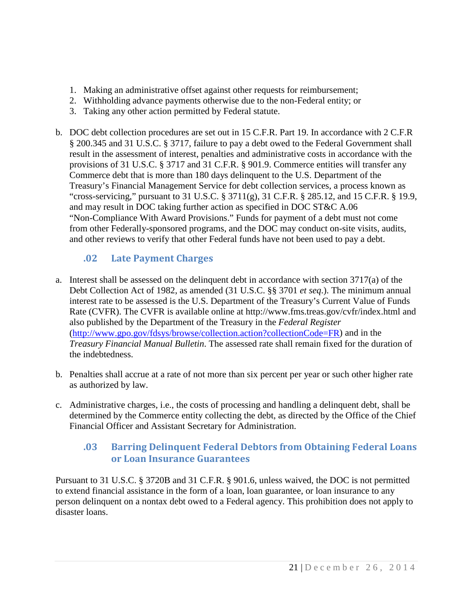- 1. Making an administrative offset against other requests for reimbursement;
- 2. Withholding advance payments otherwise due to the non-Federal entity; or
- 3. Taking any other action permitted by Federal statute.
- b. DOC debt collection procedures are set out in 15 C.F.R. Part 19. In accordance with 2 C.F.R § 200.345 and 31 U.S.C. § 3717, failure to pay a debt owed to the Federal Government shall result in the assessment of interest, penalties and administrative costs in accordance with the provisions of 31 U.S.C. § 3717 and 31 C.F.R. § 901.9. Commerce entities will transfer any Commerce debt that is more than 180 days delinquent to the U.S. Department of the Treasury's Financial Management Service for debt collection services, a process known as "cross-servicing," pursuant to 31 U.S.C. § 3711(g), 31 C.F.R. § 285.12, and 15 C.F.R. § 19.9, and may result in DOC taking further action as specified in DOC ST&C A.06 "Non-Compliance With Award Provisions." Funds for payment of a debt must not come from other Federally-sponsored programs, and the DOC may conduct on-site visits, audits, and other reviews to verify that other Federal funds have not been used to pay a debt.

# <span id="page-21-0"></span>**.02 Late Payment Charges**

- a. Interest shall be assessed on the delinquent debt in accordance with section 3717(a) of the Debt Collection Act of 1982, as amended (31 U.S.C. §§ 3701 *et seq*.). The minimum annual interest rate to be assessed is the U.S. Department of the Treasury's Current Value of Funds Rate (CVFR). The CVFR is available online at http://www.fms.treas.gov/cvfr/index.html and also published by the Department of the Treasury in the *Federal Register* [\(http://www.gpo.gov/fdsys/browse/collection.action?collectionCode=FR\)](http://www.gpo.gov/fdsys/browse/collection.action?collectionCode=FR) and in the *Treasury Financial Manual Bulletin*. The assessed rate shall remain fixed for the duration of the indebtedness.
- b. Penalties shall accrue at a rate of not more than six percent per year or such other higher rate as authorized by law.
- c. Administrative charges, i.e., the costs of processing and handling a delinquent debt, shall be determined by the Commerce entity collecting the debt, as directed by the Office of the Chief Financial Officer and Assistant Secretary for Administration.

### <span id="page-21-1"></span>**.03 Barring Delinquent Federal Debtors from Obtaining Federal Loans or Loan Insurance Guarantees**

Pursuant to 31 U.S.C. § 3720B and 31 C.F.R. § 901.6, unless waived, the DOC is not permitted to extend financial assistance in the form of a loan, loan guarantee, or loan insurance to any person delinquent on a nontax debt owed to a Federal agency. This prohibition does not apply to disaster loans.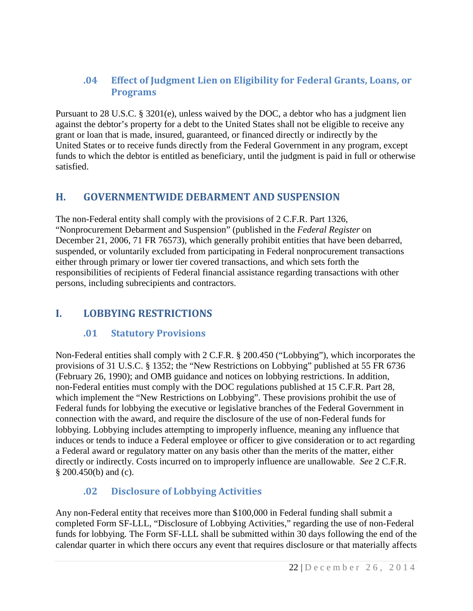## <span id="page-22-0"></span>**.04 Effect of Judgment Lien on Eligibility for Federal Grants, Loans, or Programs**

Pursuant to 28 U.S.C. § 3201(e), unless waived by the DOC, a debtor who has a judgment lien against the debtor's property for a debt to the United States shall not be eligible to receive any grant or loan that is made, insured, guaranteed, or financed directly or indirectly by the United States or to receive funds directly from the Federal Government in any program, except funds to which the debtor is entitled as beneficiary, until the judgment is paid in full or otherwise satisfied.

## <span id="page-22-1"></span>**H. GOVERNMENTWIDE DEBARMENT AND SUSPENSION**

The non-Federal entity shall comply with the provisions of 2 C.F.R. Part 1326, "Nonprocurement Debarment and Suspension" (published in the *Federal Register* on December 21, 2006, 71 FR 76573), which generally prohibit entities that have been debarred, suspended, or voluntarily excluded from participating in Federal nonprocurement transactions either through primary or lower tier covered transactions, and which sets forth the responsibilities of recipients of Federal financial assistance regarding transactions with other persons, including subrecipients and contractors.

# <span id="page-22-2"></span>**I. LOBBYING RESTRICTIONS**

### <span id="page-22-3"></span>**.01 Statutory Provisions**

Non-Federal entities shall comply with 2 C.F.R. § 200.450 ("Lobbying"), which incorporates the provisions of 31 U.S.C. § 1352; the "New Restrictions on Lobbying" published at 55 FR 6736 (February 26, 1990); and OMB guidance and notices on lobbying restrictions. In addition, non-Federal entities must comply with the DOC regulations published at 15 C.F.R. Part 28, which implement the "New Restrictions on Lobbying". These provisions prohibit the use of Federal funds for lobbying the executive or legislative branches of the Federal Government in connection with the award, and require the disclosure of the use of non-Federal funds for lobbying. Lobbying includes attempting to improperly influence, meaning any influence that induces or tends to induce a Federal employee or officer to give consideration or to act regarding a Federal award or regulatory matter on any basis other than the merits of the matter, either directly or indirectly. Costs incurred on to improperly influence are unallowable. *See* 2 C.F.R. § 200.450(b) and (c).

# <span id="page-22-4"></span>**.02 Disclosure of Lobbying Activities**

Any non-Federal entity that receives more than \$100,000 in Federal funding shall submit a completed Form SF-LLL, "Disclosure of Lobbying Activities," regarding the use of non-Federal funds for lobbying. The Form SF-LLL shall be submitted within 30 days following the end of the calendar quarter in which there occurs any event that requires disclosure or that materially affects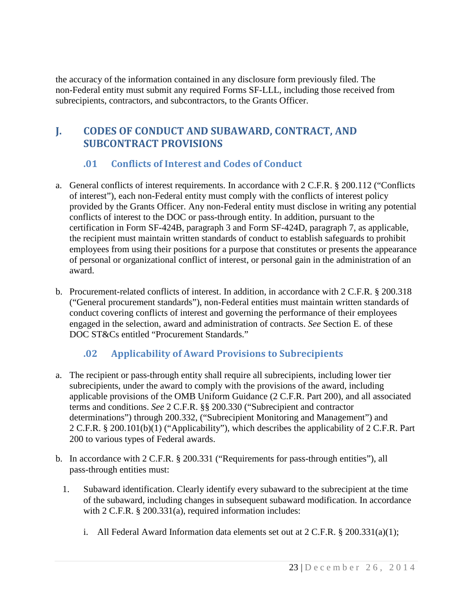the accuracy of the information contained in any disclosure form previously filed. The non-Federal entity must submit any required Forms SF-LLL, including those received from subrecipients, contractors, and subcontractors, to the Grants Officer.

# <span id="page-23-0"></span>**J. CODES OF CONDUCT AND SUBAWARD, CONTRACT, AND SUBCONTRACT PROVISIONS**

# <span id="page-23-1"></span>**.01 Conflicts of Interest and Codes of Conduct**

- a. General conflicts of interest requirements. In accordance with 2 C.F.R. § 200.112 ("Conflicts of interest"), each non-Federal entity must comply with the conflicts of interest policy provided by the Grants Officer. Any non-Federal entity must disclose in writing any potential conflicts of interest to the DOC or pass-through entity. In addition, pursuant to the certification in Form SF-424B, paragraph 3 and Form SF-424D, paragraph 7, as applicable, the recipient must maintain written standards of conduct to establish safeguards to prohibit employees from using their positions for a purpose that constitutes or presents the appearance of personal or organizational conflict of interest, or personal gain in the administration of an award.
- b. Procurement-related conflicts of interest. In addition, in accordance with 2 C.F.R. § 200.318 ("General procurement standards"), non-Federal entities must maintain written standards of conduct covering conflicts of interest and governing the performance of their employees engaged in the selection, award and administration of contracts. *See* Section E. of these DOC ST&Cs entitled "Procurement Standards."

### <span id="page-23-2"></span>**.02 Applicability of Award Provisions to Subrecipients**

- a. The recipient or pass-through entity shall require all subrecipients, including lower tier subrecipients, under the award to comply with the provisions of the award, including applicable provisions of the OMB Uniform Guidance (2 C.F.R. Part 200), and all associated terms and conditions. *See* 2 C.F.R. §§ 200.330 ("Subrecipient and contractor determinations") through 200.332, ("Subrecipient Monitoring and Management") and 2 C.F.R. § 200.101(b)(1) ("Applicability"), which describes the applicability of 2 C.F.R. Part 200 to various types of Federal awards.
- b. In accordance with 2 C.F.R. § 200.331 ("Requirements for pass-through entities"), all pass-through entities must:
	- 1. Subaward identification. Clearly identify every subaward to the subrecipient at the time of the subaward, including changes in subsequent subaward modification. In accordance with 2 C.F.R. § 200.331(a), required information includes:
		- i. All Federal Award Information data elements set out at  $2 \text{ C.F.R. } § 200.331(a)(1);$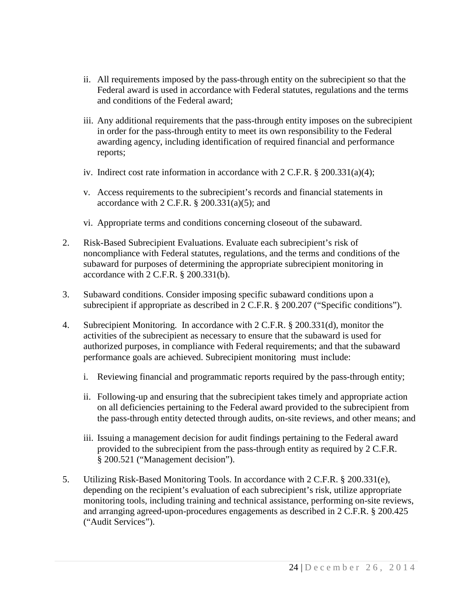- ii. All requirements imposed by the pass-through entity on the subrecipient so that the Federal award is used in accordance with Federal statutes, regulations and the terms and conditions of the Federal award;
- iii. Any additional requirements that the pass-through entity imposes on the subrecipient in order for the pass-through entity to meet its own responsibility to the Federal awarding agency, including identification of required financial and performance reports;
- iv. Indirect cost rate information in accordance with  $2 \text{ C.F.R.}$  § 200.331(a)(4);
- v. Access requirements to the subrecipient's records and financial statements in accordance with  $2$  C.F.R.  $\S$  200.331(a)(5); and
- vi. Appropriate terms and conditions concerning closeout of the subaward.
- 2. Risk-Based Subrecipient Evaluations. Evaluate each subrecipient's risk of noncompliance with Federal statutes, regulations, and the terms and conditions of the subaward for purposes of determining the appropriate subrecipient monitoring in accordance with 2 C.F.R. § 200.331(b).
- 3. Subaward conditions. Consider imposing specific subaward conditions upon a subrecipient if appropriate as described in 2 C.F.R. § 200.207 ("Specific conditions").
- 4. Subrecipient Monitoring. In accordance with 2 C.F.R. § 200.331(d), monitor the activities of the subrecipient as necessary to ensure that the subaward is used for authorized purposes, in compliance with Federal requirements; and that the subaward performance goals are achieved. Subrecipient monitoring must include:
	- i. Reviewing financial and programmatic reports required by the pass-through entity;
	- ii. Following-up and ensuring that the subrecipient takes timely and appropriate action on all deficiencies pertaining to the Federal award provided to the subrecipient from the pass-through entity detected through audits, on-site reviews, and other means; and
	- iii. Issuing a management decision for audit findings pertaining to the Federal award provided to the subrecipient from the pass-through entity as required by 2 C.F.R. § 200.521 ("Management decision").
- 5. Utilizing Risk-Based Monitoring Tools. In accordance with 2 C.F.R. § 200.331(e), depending on the recipient's evaluation of each subrecipient's risk, utilize appropriate monitoring tools, including training and technical assistance, performing on-site reviews, and arranging agreed-upon-procedures engagements as described in 2 C.F.R. § 200.425 ("Audit Services").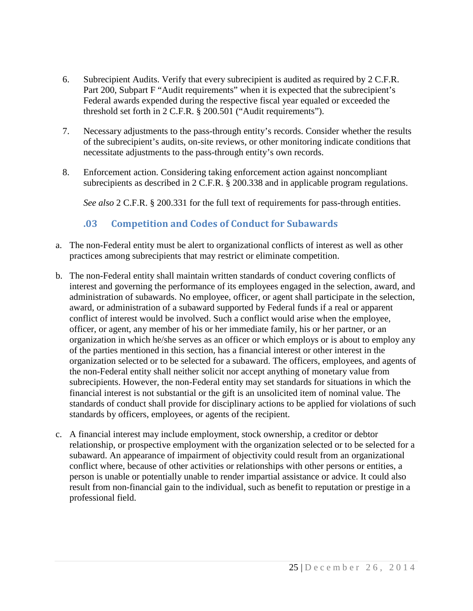- 6. Subrecipient Audits. Verify that every subrecipient is audited as required by 2 C.F.R. Part 200, Subpart F "Audit requirements" when it is expected that the subrecipient's Federal awards expended during the respective fiscal year equaled or exceeded the threshold set forth in 2 C.F.R. § 200.501 ("Audit requirements").
- 7. Necessary adjustments to the pass-through entity's records. Consider whether the results of the subrecipient's audits, on-site reviews, or other monitoring indicate conditions that necessitate adjustments to the pass-through entity's own records.
- 8. Enforcement action. Considering taking enforcement action against noncompliant subrecipients as described in 2 C.F.R. § 200.338 and in applicable program regulations.

*See also* 2 C.F.R. § 200.331 for the full text of requirements for pass-through entities.

## **.03 Competition and Codes of Conduct for Subawards**

- <span id="page-25-0"></span>a. The non-Federal entity must be alert to organizational conflicts of interest as well as other practices among subrecipients that may restrict or eliminate competition.
- b. The non-Federal entity shall maintain written standards of conduct covering conflicts of interest and governing the performance of its employees engaged in the selection, award, and administration of subawards. No employee, officer, or agent shall participate in the selection, award, or administration of a subaward supported by Federal funds if a real or apparent conflict of interest would be involved. Such a conflict would arise when the employee, officer, or agent, any member of his or her immediate family, his or her partner, or an organization in which he/she serves as an officer or which employs or is about to employ any of the parties mentioned in this section, has a financial interest or other interest in the organization selected or to be selected for a subaward. The officers, employees, and agents of the non-Federal entity shall neither solicit nor accept anything of monetary value from subrecipients. However, the non-Federal entity may set standards for situations in which the financial interest is not substantial or the gift is an unsolicited item of nominal value. The standards of conduct shall provide for disciplinary actions to be applied for violations of such standards by officers, employees, or agents of the recipient.
- c. A financial interest may include employment, stock ownership, a creditor or debtor relationship, or prospective employment with the organization selected or to be selected for a subaward. An appearance of impairment of objectivity could result from an organizational conflict where, because of other activities or relationships with other persons or entities, a person is unable or potentially unable to render impartial assistance or advice. It could also result from non-financial gain to the individual, such as benefit to reputation or prestige in a professional field.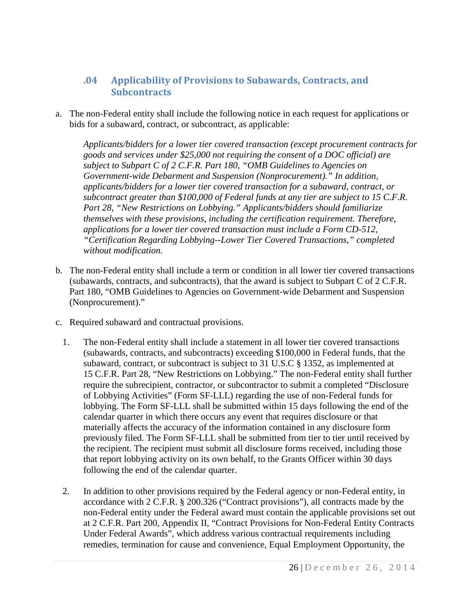### <span id="page-26-0"></span>**.04 Applicability of Provisions to Subawards, Contracts, and Subcontracts**

a. The non-Federal entity shall include the following notice in each request for applications or bids for a subaward, contract, or subcontract, as applicable:

*Applicants/bidders for a lower tier covered transaction (except procurement contracts for goods and services under \$25,000 not requiring the consent of a DOC official) are subject to Subpart C of 2 C.F.R. Part 180, "OMB Guidelines to Agencies on Government-wide Debarment and Suspension (Nonprocurement)." In addition, applicants/bidders for a lower tier covered transaction for a subaward, contract, or subcontract greater than \$100,000 of Federal funds at any tier are subject to 15 C.F.R. Part 28, "New Restrictions on Lobbying." Applicants/bidders should familiarize themselves with these provisions, including the certification requirement. Therefore, applications for a lower tier covered transaction must include a Form CD-512, "Certification Regarding Lobbying--Lower Tier Covered Transactions," completed without modification.*

- b. The non-Federal entity shall include a term or condition in all lower tier covered transactions (subawards, contracts, and subcontracts), that the award is subject to Subpart C of 2 C.F.R. Part 180, "OMB Guidelines to Agencies on Government-wide Debarment and Suspension (Nonprocurement)."
- c. Required subaward and contractual provisions.
	- 1. The non-Federal entity shall include a statement in all lower tier covered transactions (subawards, contracts, and subcontracts) exceeding \$100,000 in Federal funds, that the subaward, contract, or subcontract is subject to 31 U.S.C § 1352, as implemented at 15 C.F.R. Part 28, "New Restrictions on Lobbying." The non-Federal entity shall further require the subrecipient, contractor, or subcontractor to submit a completed "Disclosure of Lobbying Activities" (Form SF-LLL) regarding the use of non-Federal funds for lobbying. The Form SF-LLL shall be submitted within 15 days following the end of the calendar quarter in which there occurs any event that requires disclosure or that materially affects the accuracy of the information contained in any disclosure form previously filed. The Form SF-LLL shall be submitted from tier to tier until received by the recipient. The recipient must submit all disclosure forms received, including those that report lobbying activity on its own behalf, to the Grants Officer within 30 days following the end of the calendar quarter.
	- 2. In addition to other provisions required by the Federal agency or non-Federal entity, in accordance with 2 C.F.R. § 200.326 ("Contract provisions"), all contracts made by the non-Federal entity under the Federal award must contain the applicable provisions set out at 2 C.F.R. Part 200, Appendix II, "Contract Provisions for Non-Federal Entity Contracts Under Federal Awards", which address various contractual requirements including remedies, termination for cause and convenience, Equal Employment Opportunity, the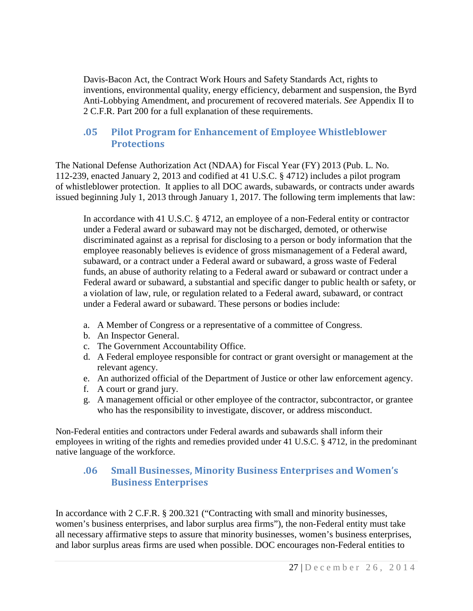Davis-Bacon Act, the Contract Work Hours and Safety Standards Act, rights to inventions, environmental quality, energy efficiency, debarment and suspension, the Byrd Anti-Lobbying Amendment, and procurement of recovered materials. *See* Appendix II to 2 C.F.R. Part 200 for a full explanation of these requirements.

### <span id="page-27-0"></span>**.05 Pilot Program for Enhancement of Employee Whistleblower Protections**

The National Defense Authorization Act (NDAA) for Fiscal Year (FY) 2013 (Pub. L. No. 112-239, enacted January 2, 2013 and codified at 41 U.S.C. § 4712) includes a pilot program of whistleblower protection. It applies to all DOC awards, subawards, or contracts under awards issued beginning July 1, 2013 through January 1, 2017. The following term implements that law:

In accordance with 41 U.S.C. § 4712, an employee of a non-Federal entity or contractor under a Federal award or subaward may not be discharged, demoted, or otherwise discriminated against as a reprisal for disclosing to a person or body information that the employee reasonably believes is evidence of gross mismanagement of a Federal award, subaward, or a contract under a Federal award or subaward, a gross waste of Federal funds, an abuse of authority relating to a Federal award or subaward or contract under a Federal award or subaward, a substantial and specific danger to public health or safety, or a violation of law, rule, or regulation related to a Federal award, subaward, or contract under a Federal award or subaward. These persons or bodies include:

- a. A Member of Congress or a representative of a committee of Congress.
- b. An Inspector General.
- c. The Government Accountability Office.
- d. A Federal employee responsible for contract or grant oversight or management at the relevant agency.
- e. An authorized official of the Department of Justice or other law enforcement agency.
- f. A court or grand jury.
- g. A management official or other employee of the contractor, subcontractor, or grantee who has the responsibility to investigate, discover, or address misconduct.

Non-Federal entities and contractors under Federal awards and subawards shall inform their employees in writing of the rights and remedies provided under 41 U.S.C. § 4712, in the predominant native language of the workforce.

### <span id="page-27-1"></span>**.06 Small Businesses, Minority Business Enterprises and Women's Business Enterprises**

In accordance with 2 C.F.R. § 200.321 ("Contracting with small and minority businesses, women's business enterprises, and labor surplus area firms"), the non-Federal entity must take all necessary affirmative steps to assure that minority businesses, women's business enterprises, and labor surplus areas firms are used when possible. DOC encourages non-Federal entities to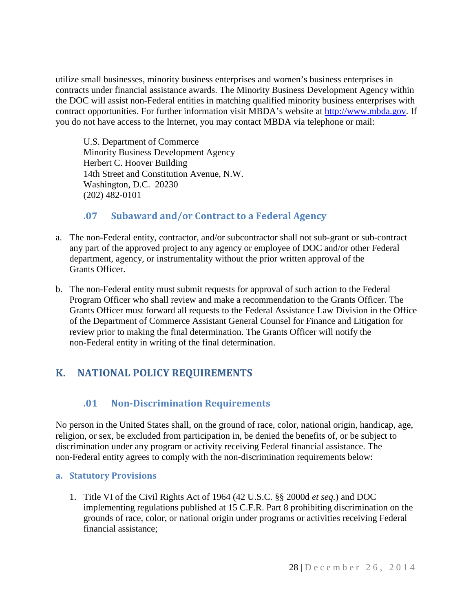utilize small businesses, minority business enterprises and women's business enterprises in contracts under financial assistance awards. The Minority Business Development Agency within the DOC will assist non-Federal entities in matching qualified minority business enterprises with contract opportunities. For further information visit MBDA's website at [http://www.mbda.gov.](http://www.mbda.gov/) If you do not have access to the Internet, you may contact MBDA via telephone or mail:

U.S. Department of Commerce Minority Business Development Agency Herbert C. Hoover Building 14th Street and Constitution Avenue, N.W. Washington, D.C. 20230 (202) 482-0101

### <span id="page-28-0"></span>**.07 Subaward and/or Contract to a Federal Agency**

- a. The non-Federal entity, contractor, and/or subcontractor shall not sub-grant or sub-contract any part of the approved project to any agency or employee of DOC and/or other Federal department, agency, or instrumentality without the prior written approval of the Grants Officer.
- b. The non-Federal entity must submit requests for approval of such action to the Federal Program Officer who shall review and make a recommendation to the Grants Officer. The Grants Officer must forward all requests to the Federal Assistance Law Division in the Office of the Department of Commerce Assistant General Counsel for Finance and Litigation for review prior to making the final determination. The Grants Officer will notify the non-Federal entity in writing of the final determination.

# <span id="page-28-2"></span><span id="page-28-1"></span>**K. NATIONAL POLICY REQUIREMENTS**

# **.01 Non-Discrimination Requirements**

No person in the United States shall, on the ground of race, color, national origin, handicap, age, religion, or sex, be excluded from participation in, be denied the benefits of, or be subject to discrimination under any program or activity receiving Federal financial assistance. The non-Federal entity agrees to comply with the non-discrimination requirements below:

### <span id="page-28-3"></span>**a. Statutory Provisions**

1. Title VI of the Civil Rights Act of 1964 (42 U.S.C. §§ 2000d *et seq.*) and DOC implementing regulations published at 15 C.F.R. Part 8 prohibiting discrimination on the grounds of race, color, or national origin under programs or activities receiving Federal financial assistance;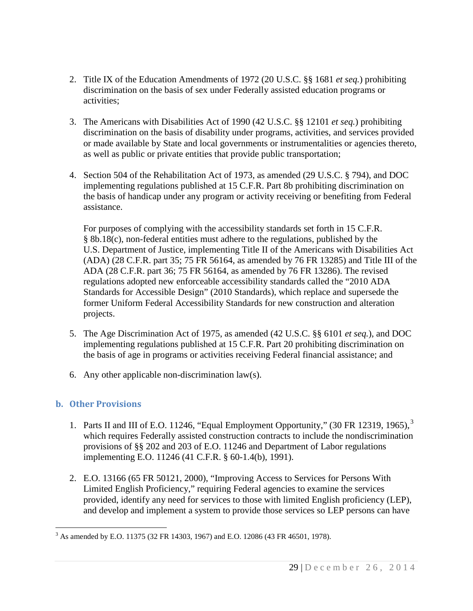- 2. Title IX of the Education Amendments of 1972 (20 U.S.C. §§ 1681 *et seq.*) prohibiting discrimination on the basis of sex under Federally assisted education programs or activities;
- 3. The Americans with Disabilities Act of 1990 (42 U.S.C. §§ 12101 *et seq.*) prohibiting discrimination on the basis of disability under programs, activities, and services provided or made available by State and local governments or instrumentalities or agencies thereto, as well as public or private entities that provide public transportation;
- 4. Section 504 of the Rehabilitation Act of 1973, as amended (29 U.S.C. § 794), and DOC implementing regulations published at 15 C.F.R. Part 8b prohibiting discrimination on the basis of handicap under any program or activity receiving or benefiting from Federal assistance.

For purposes of complying with the accessibility standards set forth in 15 C.F.R. § 8b.18(c), non-federal entities must adhere to the regulations, published by the U.S. Department of Justice, implementing Title II of the Americans with Disabilities Act (ADA) (28 C.F.R. part 35; 75 FR 56164, as amended by 76 FR 13285) and Title III of the ADA (28 C.F.R. part 36; 75 FR 56164, as amended by 76 FR 13286). The revised regulations adopted new enforceable accessibility standards called the "2010 ADA Standards for Accessible Design" (2010 Standards), which replace and supersede the former Uniform Federal Accessibility Standards for new construction and alteration projects.

- 5. The Age Discrimination Act of 1975, as amended (42 U.S.C. §§ 6101 *et seq.*), and DOC implementing regulations published at 15 C.F.R. Part 20 prohibiting discrimination on the basis of age in programs or activities receiving Federal financial assistance; and
- 6. Any other applicable non-discrimination law(s).

### <span id="page-29-0"></span>**b. Other Provisions**

- 1. Parts II and III of E.O. 11246, "Equal Employment Opportunity,"  $(30 \text{ FR } 12319, 1965)$ , which requires Federally assisted construction contracts to include the nondiscrimination provisions of §§ 202 and 203 of E.O. 11246 and Department of Labor regulations implementing E.O. 11246 (41 C.F.R. § 60-1.4(b), 1991).
- 2. E.O. 13166 (65 FR 50121, 2000), "Improving Access to Services for Persons With Limited English Proficiency," requiring Federal agencies to examine the services provided, identify any need for services to those with limited English proficiency (LEP), and develop and implement a system to provide those services so LEP persons can have

 $3$  As amended by E.O. 11375 (32 FR 14303, 1967) and E.O. 12086 (43 FR 46501, 1978).  $\overline{a}$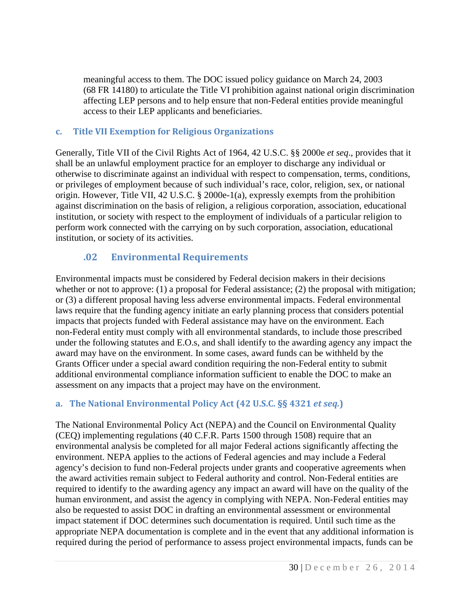meaningful access to them. The DOC issued policy guidance on March 24, 2003 (68 FR 14180) to articulate the Title VI prohibition against national origin discrimination affecting LEP persons and to help ensure that non-Federal entities provide meaningful access to their LEP applicants and beneficiaries.

#### <span id="page-30-0"></span>**c. Title VII Exemption for Religious Organizations**

Generally, Title VII of the Civil Rights Act of 1964, 42 U.S.C. §§ 2000e *et seq*., provides that it shall be an unlawful employment practice for an employer to discharge any individual or otherwise to discriminate against an individual with respect to compensation, terms, conditions, or privileges of employment because of such individual's race, color, religion, sex, or national origin. However, Title VII, 42 U.S.C. § 2000e-1(a), expressly exempts from the prohibition against discrimination on the basis of religion, a religious corporation, association, educational institution, or society with respect to the employment of individuals of a particular religion to perform work connected with the carrying on by such corporation, association, educational institution, or society of its activities.

### <span id="page-30-1"></span>**.02 Environmental Requirements**

Environmental impacts must be considered by Federal decision makers in their decisions whether or not to approve: (1) a proposal for Federal assistance; (2) the proposal with mitigation; or (3) a different proposal having less adverse environmental impacts. Federal environmental laws require that the funding agency initiate an early planning process that considers potential impacts that projects funded with Federal assistance may have on the environment. Each non-Federal entity must comply with all environmental standards, to include those prescribed under the following statutes and E.O.s, and shall identify to the awarding agency any impact the award may have on the environment. In some cases, award funds can be withheld by the Grants Officer under a special award condition requiring the non-Federal entity to submit additional environmental compliance information sufficient to enable the DOC to make an assessment on any impacts that a project may have on the environment.

### <span id="page-30-2"></span>**a. The National Environmental Policy Act (42 U.S.C. §§ 4321** *et seq.***)**

The National Environmental Policy Act (NEPA) and the Council on Environmental Quality (CEQ) implementing regulations (40 C.F.R. Parts 1500 through 1508) require that an environmental analysis be completed for all major Federal actions significantly affecting the environment. NEPA applies to the actions of Federal agencies and may include a Federal agency's decision to fund non-Federal projects under grants and cooperative agreements when the award activities remain subject to Federal authority and control. Non-Federal entities are required to identify to the awarding agency any impact an award will have on the quality of the human environment, and assist the agency in complying with NEPA. Non-Federal entities may also be requested to assist DOC in drafting an environmental assessment or environmental impact statement if DOC determines such documentation is required. Until such time as the appropriate NEPA documentation is complete and in the event that any additional information is required during the period of performance to assess project environmental impacts, funds can be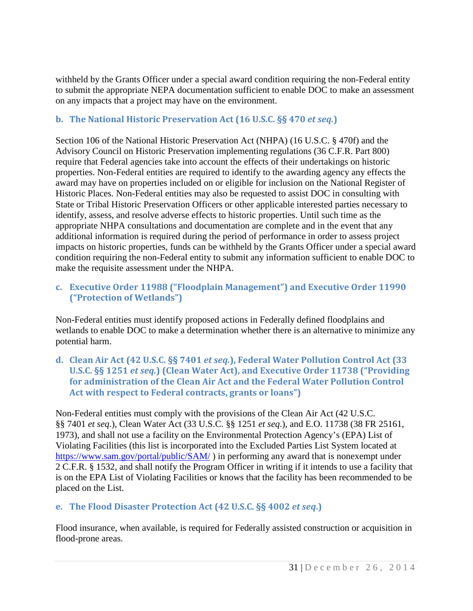withheld by the Grants Officer under a special award condition requiring the non-Federal entity to submit the appropriate NEPA documentation sufficient to enable DOC to make an assessment on any impacts that a project may have on the environment.

### <span id="page-31-0"></span>**b. The National Historic Preservation Act (16 U.S.C. §§ 470** *et seq.***)**

Section 106 of the National Historic Preservation Act (NHPA) (16 U.S.C. § 470f) and the Advisory Council on Historic Preservation implementing regulations (36 C.F.R. Part 800) require that Federal agencies take into account the effects of their undertakings on historic properties. Non-Federal entities are required to identify to the awarding agency any effects the award may have on properties included on or eligible for inclusion on the National Register of Historic Places. Non-Federal entities may also be requested to assist DOC in consulting with State or Tribal Historic Preservation Officers or other applicable interested parties necessary to identify, assess, and resolve adverse effects to historic properties. Until such time as the appropriate NHPA consultations and documentation are complete and in the event that any additional information is required during the period of performance in order to assess project impacts on historic properties, funds can be withheld by the Grants Officer under a special award condition requiring the non-Federal entity to submit any information sufficient to enable DOC to make the requisite assessment under the NHPA.

### <span id="page-31-1"></span>**c. Executive Order 11988 ("Floodplain Management") and Executive Order 11990 ("Protection of Wetlands")**

Non-Federal entities must identify proposed actions in Federally defined floodplains and wetlands to enable DOC to make a determination whether there is an alternative to minimize any potential harm.

<span id="page-31-2"></span>**d. Clean Air Act (42 U.S.C. §§ 7401** *et seq.***), Federal Water Pollution Control Act (33 U.S.C. §§ 1251** *et seq.***) (Clean Water Act), and Executive Order 11738 ("Providing for administration of the Clean Air Act and the Federal Water Pollution Control Act with respect to Federal contracts, grants or loans")**

Non-Federal entities must comply with the provisions of the Clean Air Act (42 U.S.C. §§ 7401 *et seq*.), Clean Water Act (33 U.S.C. §§ 1251 *et seq*.), and E.O. 11738 (38 FR 25161, 1973), and shall not use a facility on the Environmental Protection Agency's (EPA) List of Violating Facilities (this list is incorporated into the Excluded Parties List System located at <https://www.sam.gov/portal/public/SAM/> ) in performing any award that is nonexempt under 2 C.F.R. § 1532, and shall notify the Program Officer in writing if it intends to use a facility that is on the EPA List of Violating Facilities or knows that the facility has been recommended to be placed on the List.

### <span id="page-31-3"></span>**e. The Flood Disaster Protection Act (42 U.S.C. §§ 4002** *et seq***.)**

Flood insurance, when available, is required for Federally assisted construction or acquisition in flood-prone areas.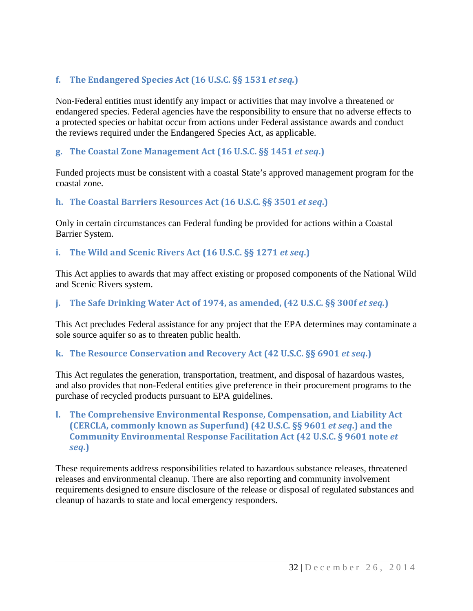### <span id="page-32-0"></span>**f. The Endangered Species Act (16 U.S.C. §§ 1531** *et seq.***)**

Non-Federal entities must identify any impact or activities that may involve a threatened or endangered species. Federal agencies have the responsibility to ensure that no adverse effects to a protected species or habitat occur from actions under Federal assistance awards and conduct the reviews required under the Endangered Species Act, as applicable.

#### <span id="page-32-1"></span>**g. The Coastal Zone Management Act (16 U.S.C. §§ 1451** *et seq***.)**

Funded projects must be consistent with a coastal State's approved management program for the coastal zone.

#### <span id="page-32-2"></span>**h. The Coastal Barriers Resources Act (16 U.S.C. §§ 3501** *et seq***.)**

Only in certain circumstances can Federal funding be provided for actions within a Coastal Barrier System.

#### <span id="page-32-3"></span>**i. The Wild and Scenic Rivers Act (16 U.S.C. §§ 1271** *et seq***.)**

This Act applies to awards that may affect existing or proposed components of the National Wild and Scenic Rivers system.

#### <span id="page-32-4"></span>**j. The Safe Drinking Water Act of 1974, as amended, (42 U.S.C. §§ 300f** *et seq.***)**

This Act precludes Federal assistance for any project that the EPA determines may contaminate a sole source aquifer so as to threaten public health.

#### <span id="page-32-5"></span>**k. The Resource Conservation and Recovery Act (42 U.S.C. §§ 6901** *et seq***.)**

This Act regulates the generation, transportation, treatment, and disposal of hazardous wastes, and also provides that non-Federal entities give preference in their procurement programs to the purchase of recycled products pursuant to EPA guidelines.

<span id="page-32-6"></span>**l. The Comprehensive Environmental Response, Compensation, and Liability Act (CERCLA, commonly known as Superfund) (42 U.S.C. §§ 9601** *et seq***.) and the Community Environmental Response Facilitation Act (42 U.S.C. § 9601 note** *et seq***.)**

These requirements address responsibilities related to hazardous substance releases, threatened releases and environmental cleanup. There are also reporting and community involvement requirements designed to ensure disclosure of the release or disposal of regulated substances and cleanup of hazards to state and local emergency responders.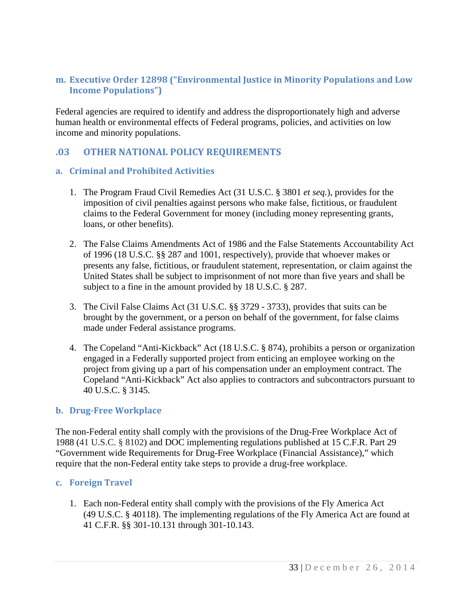#### <span id="page-33-0"></span>**m. Executive Order 12898 ("Environmental Justice in Minority Populations and Low Income Populations")**

Federal agencies are required to identify and address the disproportionately high and adverse human health or environmental effects of Federal programs, policies, and activities on low income and minority populations.

#### <span id="page-33-1"></span>**.03 OTHER NATIONAL POLICY REQUIREMENTS**

#### <span id="page-33-2"></span>**a. Criminal and Prohibited Activities**

- 1. The Program Fraud Civil Remedies Act (31 U.S.C. § 3801 *et seq.*), provides for the imposition of civil penalties against persons who make false, fictitious, or fraudulent claims to the Federal Government for money (including money representing grants, loans, or other benefits).
- 2. The False Claims Amendments Act of 1986 and the False Statements Accountability Act of 1996 (18 U.S.C. §§ 287 and 1001, respectively), provide that whoever makes or presents any false, fictitious, or fraudulent statement, representation, or claim against the United States shall be subject to imprisonment of not more than five years and shall be subject to a fine in the amount provided by 18 U.S.C. § 287.
- 3. The Civil False Claims Act (31 U.S.C. §§ 3729 3733), provides that suits can be brought by the government, or a person on behalf of the government, for false claims made under Federal assistance programs.
- 4. The Copeland "Anti-Kickback" Act (18 U.S.C. § 874), prohibits a person or organization engaged in a Federally supported project from enticing an employee working on the project from giving up a part of his compensation under an employment contract. The Copeland "Anti-Kickback" Act also applies to contractors and subcontractors pursuant to 40 U.S.C. § 3145.

#### <span id="page-33-3"></span>**b. Drug-Free Workplace**

The non-Federal entity shall comply with the provisions of the Drug-Free Workplace Act of 1988 (41 U.S.C. § 8102) and DOC implementing regulations published at 15 C.F.R. Part 29 "Government wide Requirements for Drug-Free Workplace (Financial Assistance)," which require that the non-Federal entity take steps to provide a drug-free workplace.

#### <span id="page-33-4"></span>**c. Foreign Travel**

1. Each non-Federal entity shall comply with the provisions of the Fly America Act (49 U.S.C. § 40118). The implementing regulations of the Fly America Act are found at 41 C.F.R. §§ 301-10.131 through 301-10.143.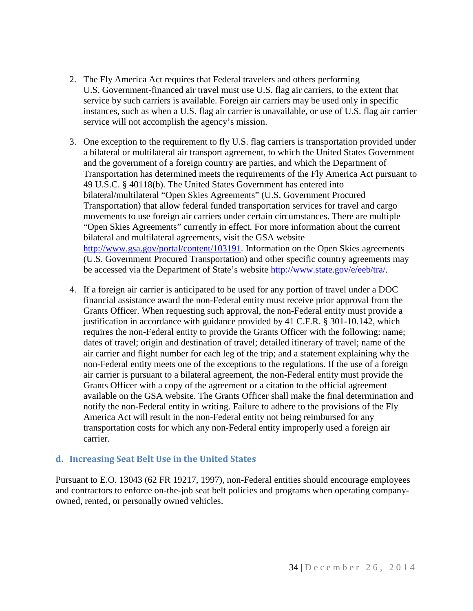- 2. The Fly America Act requires that Federal travelers and others performing U.S. Government-financed air travel must use U.S. flag air carriers, to the extent that service by such carriers is available. Foreign air carriers may be used only in specific instances, such as when a U.S. flag air carrier is unavailable, or use of U.S. flag air carrier service will not accomplish the agency's mission.
- 3. One exception to the requirement to fly U.S. flag carriers is transportation provided under a bilateral or multilateral air transport agreement, to which the United States Government and the government of a foreign country are parties, and which the Department of Transportation has determined meets the requirements of the Fly America Act pursuant to 49 U.S.C. § 40118(b). The United States Government has entered into bilateral/multilateral "Open Skies Agreements" (U.S. Government Procured Transportation) that allow federal funded transportation services for travel and cargo movements to use foreign air carriers under certain circumstances. There are multiple "Open Skies Agreements" currently in effect. For more information about the current bilateral and multilateral agreements, visit the GSA website [http://www.gsa.gov/portal/content/103191.](http://www.gsa.gov/portal/content/103191) Information on the Open Skies agreements (U.S. Government Procured Transportation) and other specific country agreements may be accessed via the Department of State's website [http://www.state.gov/e/eeb/tra/.](http://www.state.gov/e/eeb/tra/)
- 4. If a foreign air carrier is anticipated to be used for any portion of travel under a DOC financial assistance award the non-Federal entity must receive prior approval from the Grants Officer. When requesting such approval, the non-Federal entity must provide a justification in accordance with guidance provided by 41 C.F.R. § 301-10.142, which requires the non-Federal entity to provide the Grants Officer with the following: name; dates of travel; origin and destination of travel; detailed itinerary of travel; name of the air carrier and flight number for each leg of the trip; and a statement explaining why the non-Federal entity meets one of the exceptions to the regulations. If the use of a foreign air carrier is pursuant to a bilateral agreement, the non-Federal entity must provide the Grants Officer with a copy of the agreement or a citation to the official agreement available on the GSA website. The Grants Officer shall make the final determination and notify the non-Federal entity in writing. Failure to adhere to the provisions of the Fly America Act will result in the non-Federal entity not being reimbursed for any transportation costs for which any non-Federal entity improperly used a foreign air carrier.

#### <span id="page-34-0"></span>**d. Increasing Seat Belt Use in the United States**

Pursuant to E.O. 13043 (62 FR 19217, 1997), non-Federal entities should encourage employees and contractors to enforce on-the-job seat belt policies and programs when operating companyowned, rented, or personally owned vehicles.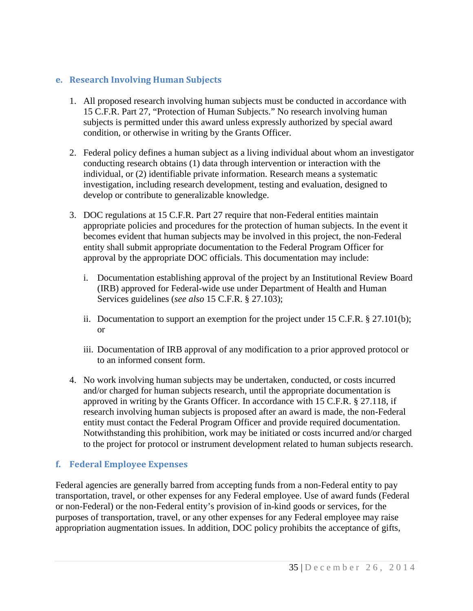#### <span id="page-35-0"></span>**e. Research Involving Human Subjects**

- 1. All proposed research involving human subjects must be conducted in accordance with 15 C.F.R. Part 27, "Protection of Human Subjects." No research involving human subjects is permitted under this award unless expressly authorized by special award condition, or otherwise in writing by the Grants Officer.
- 2. Federal policy defines a human subject as a living individual about whom an investigator conducting research obtains (1) data through intervention or interaction with the individual, or (2) identifiable private information. Research means a systematic investigation, including research development, testing and evaluation, designed to develop or contribute to generalizable knowledge.
- 3. DOC regulations at 15 C.F.R. Part 27 require that non-Federal entities maintain appropriate policies and procedures for the protection of human subjects. In the event it becomes evident that human subjects may be involved in this project, the non-Federal entity shall submit appropriate documentation to the Federal Program Officer for approval by the appropriate DOC officials. This documentation may include:
	- i. Documentation establishing approval of the project by an Institutional Review Board (IRB) approved for Federal-wide use under Department of Health and Human Services guidelines (*see also* 15 C.F.R. § 27.103);
	- ii. Documentation to support an exemption for the project under 15 C.F.R. § 27.101(b); or
	- iii. Documentation of IRB approval of any modification to a prior approved protocol or to an informed consent form.
- 4. No work involving human subjects may be undertaken, conducted, or costs incurred and/or charged for human subjects research, until the appropriate documentation is approved in writing by the Grants Officer. In accordance with 15 C.F.R. § 27.118, if research involving human subjects is proposed after an award is made, the non-Federal entity must contact the Federal Program Officer and provide required documentation. Notwithstanding this prohibition, work may be initiated or costs incurred and/or charged to the project for protocol or instrument development related to human subjects research.

### <span id="page-35-1"></span>**f. Federal Employee Expenses**

Federal agencies are generally barred from accepting funds from a non-Federal entity to pay transportation, travel, or other expenses for any Federal employee. Use of award funds (Federal or non-Federal) or the non-Federal entity's provision of in-kind goods or services, for the purposes of transportation, travel, or any other expenses for any Federal employee may raise appropriation augmentation issues. In addition, DOC policy prohibits the acceptance of gifts,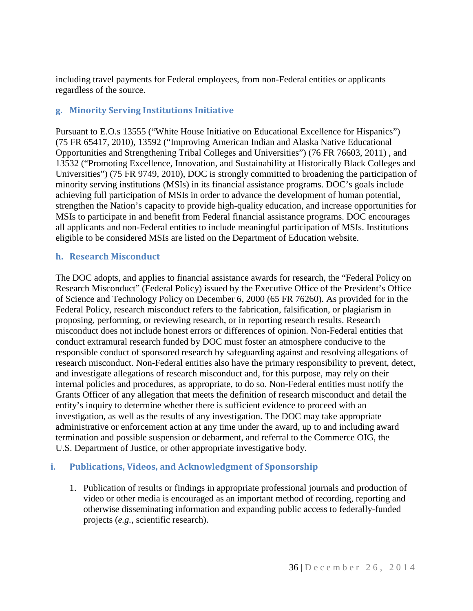including travel payments for Federal employees, from non-Federal entities or applicants regardless of the source.

### <span id="page-36-0"></span>**g. Minority Serving Institutions Initiative**

Pursuant to E.O.s 13555 ("White House Initiative on Educational Excellence for Hispanics") (75 FR 65417, 2010), 13592 ("Improving American Indian and Alaska Native Educational Opportunities and Strengthening Tribal Colleges and Universities") (76 FR 76603, 2011) , and 13532 ("Promoting Excellence, Innovation, and Sustainability at Historically Black Colleges and Universities") (75 FR 9749, 2010), DOC is strongly committed to broadening the participation of minority serving institutions (MSIs) in its financial assistance programs. DOC's goals include achieving full participation of MSIs in order to advance the development of human potential, strengthen the Nation's capacity to provide high-quality education, and increase opportunities for MSIs to participate in and benefit from Federal financial assistance programs. DOC encourages all applicants and non-Federal entities to include meaningful participation of MSIs. Institutions eligible to be considered MSIs are listed on the Department of Education website.

#### <span id="page-36-1"></span>**h. Research Misconduct**

The DOC adopts, and applies to financial assistance awards for research, the "Federal Policy on Research Misconduct" (Federal Policy) issued by the Executive Office of the President's Office of Science and Technology Policy on December 6, 2000 (65 FR 76260). As provided for in the Federal Policy, research misconduct refers to the fabrication, falsification, or plagiarism in proposing, performing, or reviewing research, or in reporting research results. Research misconduct does not include honest errors or differences of opinion. Non-Federal entities that conduct extramural research funded by DOC must foster an atmosphere conducive to the responsible conduct of sponsored research by safeguarding against and resolving allegations of research misconduct. Non-Federal entities also have the primary responsibility to prevent, detect, and investigate allegations of research misconduct and, for this purpose, may rely on their internal policies and procedures, as appropriate, to do so. Non-Federal entities must notify the Grants Officer of any allegation that meets the definition of research misconduct and detail the entity's inquiry to determine whether there is sufficient evidence to proceed with an investigation, as well as the results of any investigation. The DOC may take appropriate administrative or enforcement action at any time under the award, up to and including award termination and possible suspension or debarment, and referral to the Commerce OIG, the U.S. Department of Justice, or other appropriate investigative body.

### <span id="page-36-2"></span>**i. Publications, Videos, and Acknowledgment of Sponsorship**

1. Publication of results or findings in appropriate professional journals and production of video or other media is encouraged as an important method of recording, reporting and otherwise disseminating information and expanding public access to federally-funded projects (*e.g.*, scientific research).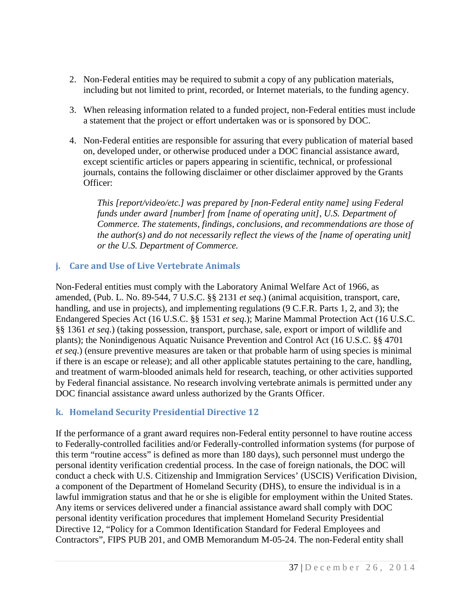- 2. Non-Federal entities may be required to submit a copy of any publication materials, including but not limited to print, recorded, or Internet materials, to the funding agency.
- 3. When releasing information related to a funded project, non-Federal entities must include a statement that the project or effort undertaken was or is sponsored by DOC.
- 4. Non-Federal entities are responsible for assuring that every publication of material based on, developed under, or otherwise produced under a DOC financial assistance award, except scientific articles or papers appearing in scientific, technical, or professional journals, contains the following disclaimer or other disclaimer approved by the Grants Officer:

*This [report/video/etc.] was prepared by [non-Federal entity name] using Federal funds under award [number] from [name of operating unit], U.S. Department of Commerce. The statements, findings, conclusions, and recommendations are those of the author(s) and do not necessarily reflect the views of the [name of operating unit] or the U.S. Department of Commerce.*

#### <span id="page-37-0"></span>**j. Care and Use of Live Vertebrate Animals**

Non-Federal entities must comply with the Laboratory Animal Welfare Act of 1966, as amended, (Pub. L. No. 89-544, 7 U.S.C. §§ 2131 *et seq*.) (animal acquisition, transport, care, handling, and use in projects), and implementing regulations (9 C.F.R. Parts 1, 2, and 3); the Endangered Species Act (16 U.S.C. §§ 1531 *et seq*.); Marine Mammal Protection Act (16 U.S.C. §§ 1361 *et seq*.) (taking possession, transport, purchase, sale, export or import of wildlife and plants); the Nonindigenous Aquatic Nuisance Prevention and Control Act (16 U.S.C. §§ 4701 *et seq*.) (ensure preventive measures are taken or that probable harm of using species is minimal if there is an escape or release); and all other applicable statutes pertaining to the care, handling, and treatment of warm-blooded animals held for research, teaching, or other activities supported by Federal financial assistance. No research involving vertebrate animals is permitted under any DOC financial assistance award unless authorized by the Grants Officer.

### <span id="page-37-1"></span>**k. Homeland Security Presidential Directive 12**

If the performance of a grant award requires non-Federal entity personnel to have routine access to Federally-controlled facilities and/or Federally-controlled information systems (for purpose of this term "routine access" is defined as more than 180 days), such personnel must undergo the personal identity verification credential process. In the case of foreign nationals, the DOC will conduct a check with U.S. Citizenship and Immigration Services' (USCIS) Verification Division, a component of the Department of Homeland Security (DHS), to ensure the individual is in a lawful immigration status and that he or she is eligible for employment within the United States. Any items or services delivered under a financial assistance award shall comply with DOC personal identity verification procedures that implement Homeland Security Presidential Directive 12, "Policy for a Common Identification Standard for Federal Employees and Contractors", FIPS PUB 201, and OMB Memorandum M-05-24. The non-Federal entity shall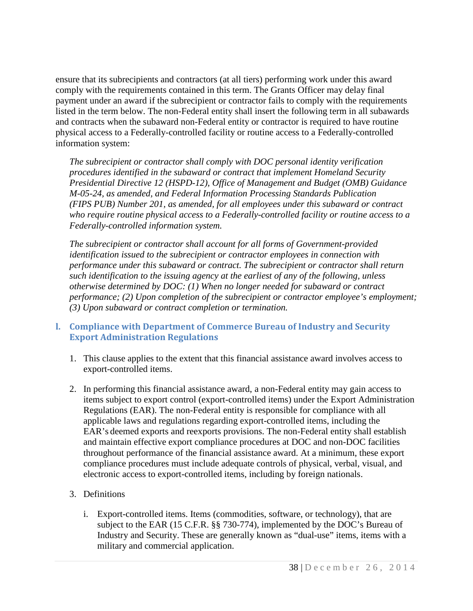ensure that its subrecipients and contractors (at all tiers) performing work under this award comply with the requirements contained in this term. The Grants Officer may delay final payment under an award if the subrecipient or contractor fails to comply with the requirements listed in the term below. The non-Federal entity shall insert the following term in all subawards and contracts when the subaward non-Federal entity or contractor is required to have routine physical access to a Federally-controlled facility or routine access to a Federally-controlled information system:

*The subrecipient or contractor shall comply with DOC personal identity verification procedures identified in the subaward or contract that implement Homeland Security Presidential Directive 12 (HSPD-12), Office of Management and Budget (OMB) Guidance M-05-24, as amended, and Federal Information Processing Standards Publication (FIPS PUB) Number 201, as amended, for all employees under this subaward or contract who require routine physical access to a Federally-controlled facility or routine access to a Federally-controlled information system.*

*The subrecipient or contractor shall account for all forms of Government-provided identification issued to the subrecipient or contractor employees in connection with performance under this subaward or contract. The subrecipient or contractor shall return such identification to the issuing agency at the earliest of any of the following, unless otherwise determined by DOC: (1) When no longer needed for subaward or contract performance; (2) Upon completion of the subrecipient or contractor employee's employment; (3) Upon subaward or contract completion or termination.*

#### <span id="page-38-0"></span>**l. Compliance with Department of Commerce Bureau of Industry and Security Export Administration Regulations**

- 1. This clause applies to the extent that this financial assistance award involves access to export-controlled items.
- 2. In performing this financial assistance award, a non-Federal entity may gain access to items subject to export control (export-controlled items) under the Export Administration Regulations (EAR). The non-Federal entity is responsible for compliance with all applicable laws and regulations regarding export-controlled items, including the EAR's deemed exports and reexports provisions. The non-Federal entity shall establish and maintain effective export compliance procedures at DOC and non-DOC facilities throughout performance of the financial assistance award. At a minimum, these export compliance procedures must include adequate controls of physical, verbal, visual, and electronic access to export-controlled items, including by foreign nationals.

### 3. Definitions

i. Export-controlled items. Items (commodities, software, or technology), that are subject to the EAR (15 C.F.R. §§ 730-774), implemented by the DOC's Bureau of Industry and Security. These are generally known as "dual-use" items, items with a military and commercial application.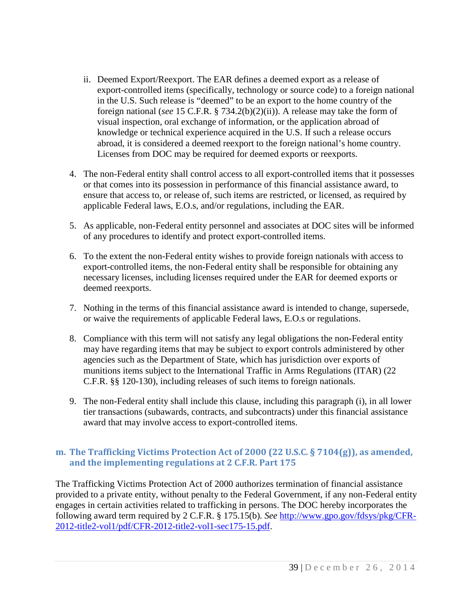- ii. Deemed Export/Reexport. The EAR defines a deemed export as a release of export-controlled items (specifically, technology or source code) to a foreign national in the U.S. Such release is "deemed" to be an export to the home country of the foreign national (*see* 15 C.F.R. § 734.2(b)(2)(ii)). A release may take the form of visual inspection, oral exchange of information, or the application abroad of knowledge or technical experience acquired in the U.S. If such a release occurs abroad, it is considered a deemed reexport to the foreign national's home country. Licenses from DOC may be required for deemed exports or reexports.
- 4. The non-Federal entity shall control access to all export-controlled items that it possesses or that comes into its possession in performance of this financial assistance award, to ensure that access to, or release of, such items are restricted, or licensed, as required by applicable Federal laws, E.O.s, and/or regulations, including the EAR.
- 5. As applicable, non-Federal entity personnel and associates at DOC sites will be informed of any procedures to identify and protect export-controlled items.
- 6. To the extent the non-Federal entity wishes to provide foreign nationals with access to export-controlled items, the non-Federal entity shall be responsible for obtaining any necessary licenses, including licenses required under the EAR for deemed exports or deemed reexports.
- 7. Nothing in the terms of this financial assistance award is intended to change, supersede, or waive the requirements of applicable Federal laws, E.O.s or regulations.
- 8. Compliance with this term will not satisfy any legal obligations the non-Federal entity may have regarding items that may be subject to export controls administered by other agencies such as the Department of State, which has jurisdiction over exports of munitions items subject to the International Traffic in Arms Regulations (ITAR) (22 C.F.R. §§ 120-130), including releases of such items to foreign nationals.
- 9. The non-Federal entity shall include this clause, including this paragraph (i), in all lower tier transactions (subawards, contracts, and subcontracts) under this financial assistance award that may involve access to export-controlled items.

#### <span id="page-39-0"></span>**m. The Trafficking Victims Protection Act of 2000 (22 U.S.C. § 7104(g)), as amended, and the implementing regulations at 2 C.F.R. Part 175**

The Trafficking Victims Protection Act of 2000 authorizes termination of financial assistance provided to a private entity, without penalty to the Federal Government, if any non-Federal entity engages in certain activities related to trafficking in persons. The DOC hereby incorporates the following award term required by 2 C.F.R. § 175.15(b)*. See* [http://www.gpo.gov/fdsys/pkg/CFR-](http://www.gpo.gov/fdsys/pkg/CFR-2012-title2-vol1/pdf/CFR-2012-title2-vol1-sec175-15.pdf)[2012-title2-vol1/pdf/CFR-2012-title2-vol1-sec175-15.pdf.](http://www.gpo.gov/fdsys/pkg/CFR-2012-title2-vol1/pdf/CFR-2012-title2-vol1-sec175-15.pdf)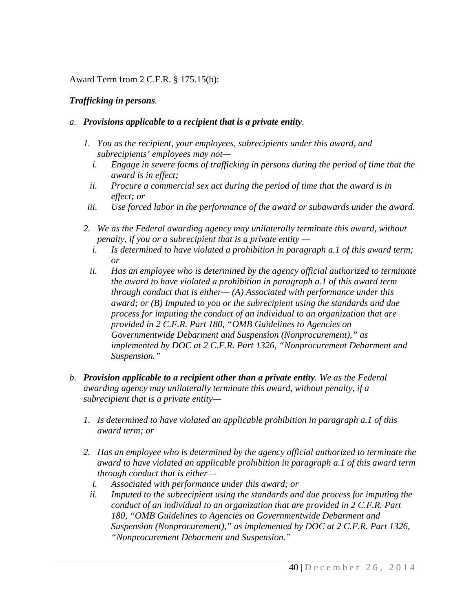#### Award Term from 2 C.F.R. § 175.15(b):

#### *Trafficking in persons.*

#### *a. Provisions applicable to a recipient that is a private entity.*

- *1. You as the recipient, your employees, subrecipients under this award, and subrecipients' employees may not*
	- *i. Engage in severe forms of trafficking in persons during the period of time that the award is in effect;*
	- *ii. Procure a commercial sex act during the period of time that the award is in effect; or*
- *iii. Use forced labor in the performance of the award or subawards under the award.*
- *2. We as the Federal awarding agency may unilaterally terminate this award, without penalty, if you or a subrecipient that is a private entity* 
	- *i. Is determined to have violated a prohibition in paragraph a.1 of this award term; or*
	- *ii. Has an employee who is determined by the agency official authorized to terminate the award to have violated a prohibition in paragraph a.1 of this award term through conduct that is either— (A) Associated with performance under this award; or (B) Imputed to you or the subrecipient using the standards and due process for imputing the conduct of an individual to an organization that are provided in 2 C.F.R. Part 180, "OMB Guidelines to Agencies on Governmentwide Debarment and Suspension (Nonprocurement)," as implemented by DOC at 2 C.F.R. Part 1326, "Nonprocurement Debarment and Suspension."*
- *b. Provision applicable to a recipient other than a private entity. We as the Federal awarding agency may unilaterally terminate this award, without penalty, if a subrecipient that is a private entity—*
	- *1. Is determined to have violated an applicable prohibition in paragraph a.1 of this award term; or*
	- *2. Has an employee who is determined by the agency official authorized to terminate the award to have violated an applicable prohibition in paragraph a.1 of this award term through conduct that is either*
		- *i. Associated with performance under this award; or*
		- *ii. Imputed to the subrecipient using the standards and due process for imputing the conduct of an individual to an organization that are provided in 2 C.F.R. Part 180, "OMB Guidelines to Agencies on Governmentwide Debarment and Suspension (Nonprocurement)," as implemented by DOC at 2 C.F.R. Part 1326, "Nonprocurement Debarment and Suspension."*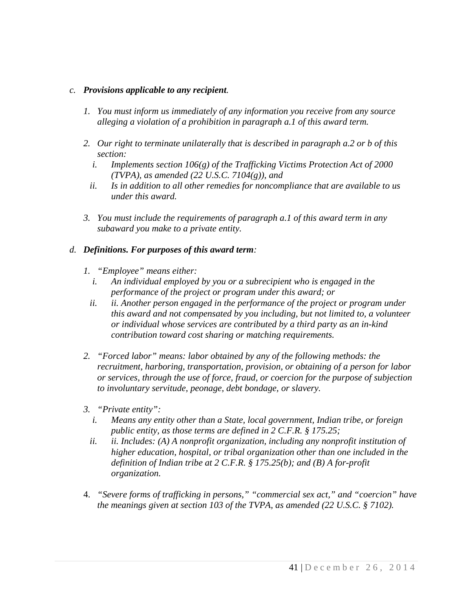#### *c. Provisions applicable to any recipient.*

- *1. You must inform us immediately of any information you receive from any source alleging a violation of a prohibition in paragraph a.1 of this award term.*
- *2. Our right to terminate unilaterally that is described in paragraph a.2 or b of this section:* 
	- *i. Implements section 106(g) of the Trafficking Victims Protection Act of 2000 (TVPA), as amended (22 U.S.C. 7104(g)), and*
	- *ii. Is in addition to all other remedies for noncompliance that are available to us under this award.*
- *3. You must include the requirements of paragraph a.1 of this award term in any subaward you make to a private entity.*

#### *d. Definitions. For purposes of this award term:*

- *1. "Employee" means either:* 
	- *i. An individual employed by you or a subrecipient who is engaged in the performance of the project or program under this award; or*
	- *ii. ii. Another person engaged in the performance of the project or program under this award and not compensated by you including, but not limited to, a volunteer or individual whose services are contributed by a third party as an in-kind contribution toward cost sharing or matching requirements.*
- *2. "Forced labor" means: labor obtained by any of the following methods: the recruitment, harboring, transportation, provision, or obtaining of a person for labor or services, through the use of force, fraud, or coercion for the purpose of subjection to involuntary servitude, peonage, debt bondage, or slavery.*
- *3. "Private entity":*
	- *i. Means any entity other than a State, local government, Indian tribe, or foreign public entity, as those terms are defined in 2 C.F.R. § 175.25;*
	- *ii. ii. Includes: (A) A nonprofit organization, including any nonprofit institution of higher education, hospital, or tribal organization other than one included in the definition of Indian tribe at 2 C.F.R. § 175.25(b); and (B) A for-profit organization.*
- 4. *"Severe forms of trafficking in persons," "commercial sex act," and "coercion" have the meanings given at section 103 of the TVPA, as amended (22 U.S.C. § 7102).*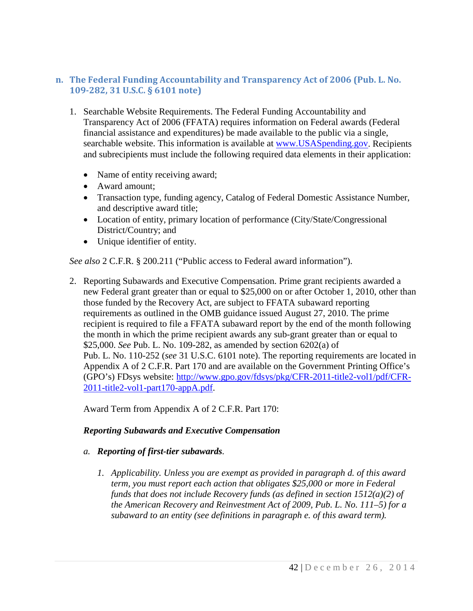### <span id="page-42-0"></span>**n. The Federal Funding Accountability and Transparency Act of 2006 (Pub. L. No. 109-282, 31 U.S.C. § 6101 note)**

- 1. Searchable Website Requirements. The Federal Funding Accountability and Transparency Act of 2006 (FFATA) requires information on Federal awards (Federal financial assistance and expenditures) be made available to the public via a single, searchable website. This information is available at [www.USASpending.gov.](http://www.usaspending.gov/) Recipients and subrecipients must include the following required data elements in their application:
	- Name of entity receiving award;
	- Award amount;
	- Transaction type, funding agency, Catalog of Federal Domestic Assistance Number, and descriptive award title;
	- Location of entity, primary location of performance (City/State/Congressional District/Country; and
	- Unique identifier of entity.

*See also* 2 C.F.R. § 200.211 ("Public access to Federal award information").

2. Reporting Subawards and Executive Compensation. Prime grant recipients awarded a new Federal grant greater than or equal to \$25,000 on or after October 1, 2010, other than those funded by the Recovery Act, are subject to FFATA subaward reporting requirements as outlined in the OMB guidance issued August 27, 2010. The prime recipient is required to file a FFATA subaward report by the end of the month following the month in which the prime recipient awards any sub-grant greater than or equal to \$25,000. *See* Pub. L. No. 109-282, as amended by section 6202(a) of Pub. L. No. 110-252 (*see* 31 U.S.C. 6101 note). The reporting requirements are located in Appendix A of 2 C.F.R. Part 170 and are available on the Government Printing Office's (GPO's) FDsys website: [http://www.gpo.gov/fdsys/pkg/CFR-2011-title2-vol1/pdf/CFR-](http://www.gpo.gov/fdsys/pkg/CFR-2011-title2-vol1/pdf/CFR-2011-title2-vol1-part170-appA.pdf)[2011-title2-vol1-part170-appA.pdf.](http://www.gpo.gov/fdsys/pkg/CFR-2011-title2-vol1/pdf/CFR-2011-title2-vol1-part170-appA.pdf)

Award Term from Appendix A of 2 C.F.R. Part 170:

### *Reporting Subawards and Executive Compensation*

#### *a. Reporting of first-tier subawards.*

*1. Applicability. Unless you are exempt as provided in paragraph d. of this award term, you must report each action that obligates \$25,000 or more in Federal funds that does not include Recovery funds (as defined in section 1512(a)(2) of the American Recovery and Reinvestment Act of 2009, Pub. L. No. 111–5) for a subaward to an entity (see definitions in paragraph e. of this award term).*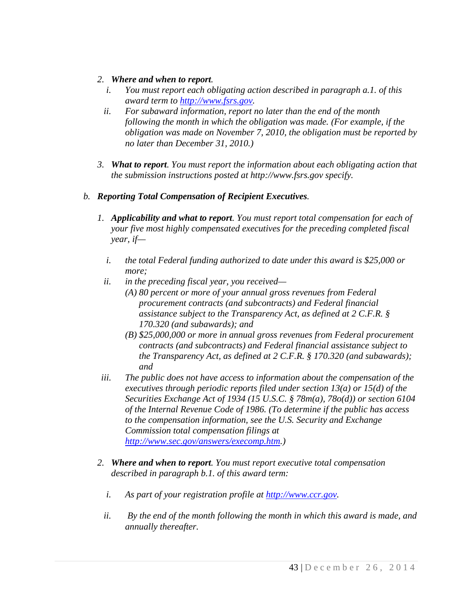#### *2. Where and when to report.*

- *i. You must report each obligating action described in paragraph a.1. of this award term to [http://www.fsrs.gov.](http://www.fsrs.gov/)*
- *ii. For subaward information, report no later than the end of the month following the month in which the obligation was made. (For example, if the obligation was made on November 7, 2010, the obligation must be reported by no later than December 31, 2010.)*
- *3. What to report. You must report the information about each obligating action that the submission instructions posted at http://www.fsrs.gov specify.*
- *b. Reporting Total Compensation of Recipient Executives.*
	- *1. Applicability and what to report. You must report total compensation for each of your five most highly compensated executives for the preceding completed fiscal year, if*
		- *i. the total Federal funding authorized to date under this award is \$25,000 or more;*
		- *ii. in the preceding fiscal year, you received—*
			- *(A) 80 percent or more of your annual gross revenues from Federal procurement contracts (and subcontracts) and Federal financial assistance subject to the Transparency Act, as defined at 2 C.F.R. § 170.320 (and subawards); and*
			- *(B) \$25,000,000 or more in annual gross revenues from Federal procurement contracts (and subcontracts) and Federal financial assistance subject to the Transparency Act, as defined at 2 C.F.R. § 170.320 (and subawards); and*
	- *iii. The public does not have access to information about the compensation of the executives through periodic reports filed under section 13(a) or 15(d) of the Securities Exchange Act of 1934 (15 U.S.C. § 78m(a), 78o(d)) or section 6104 of the Internal Revenue Code of 1986. (To determine if the public has access to the compensation information, see the U.S. Security and Exchange Commission total compensation filings at [http://www.sec.gov/answers/execomp.htm.](http://www.sec.gov/answers/execomp.htm))*
	- *2. Where and when to report. You must report executive total compensation described in paragraph b.1. of this award term:*
		- *i. As part of your registration profile at [http://www.ccr.gov.](http://www.ccr.gov/)*
		- *ii. By the end of the month following the month in which this award is made, and annually thereafter.*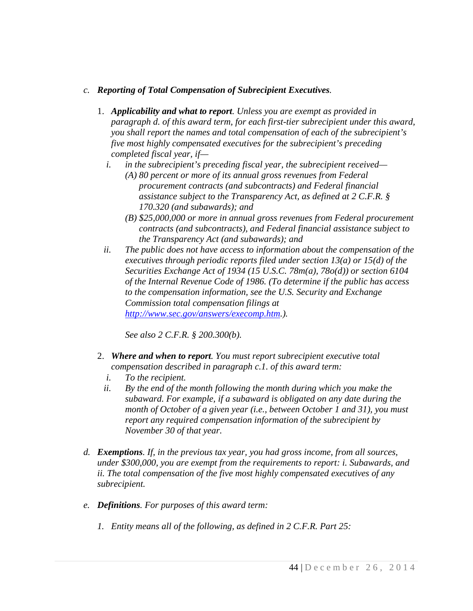#### *c. Reporting of Total Compensation of Subrecipient Executives.*

- 1. *Applicability and what to report. Unless you are exempt as provided in paragraph d. of this award term, for each first-tier subrecipient under this award, you shall report the names and total compensation of each of the subrecipient's five most highly compensated executives for the subrecipient's preceding completed fiscal year, if*
	- *i. in the subrecipient's preceding fiscal year, the subrecipient received—*
		- *(A) 80 percent or more of its annual gross revenues from Federal procurement contracts (and subcontracts) and Federal financial assistance subject to the Transparency Act, as defined at 2 C.F.R. § 170.320 (and subawards); and*
		- *(B) \$25,000,000 or more in annual gross revenues from Federal procurement contracts (and subcontracts), and Federal financial assistance subject to the Transparency Act (and subawards); and*
	- *ii. The public does not have access to information about the compensation of the executives through periodic reports filed under section 13(a) or 15(d) of the Securities Exchange Act of 1934 (15 U.S.C. 78m(a), 78o(d)) or section 6104 of the Internal Revenue Code of 1986. (To determine if the public has access to the compensation information, see the U.S. Security and Exchange Commission total compensation filings at [http://www.sec.gov/answers/execomp.htm.](http://www.sec.gov/answers/execomp.htm)).*

*See also 2 C.F.R. § 200.300(b).*

- 2. *Where and when to report. You must report subrecipient executive total compensation described in paragraph c.1. of this award term:*
	- *i. To the recipient.*
	- *ii. By the end of the month following the month during which you make the subaward. For example, if a subaward is obligated on any date during the month of October of a given year (i.e., between October 1 and 31), you must report any required compensation information of the subrecipient by November 30 of that year.*
- *d. Exemptions. If, in the previous tax year, you had gross income, from all sources, under \$300,000, you are exempt from the requirements to report: i. Subawards, and ii. The total compensation of the five most highly compensated executives of any subrecipient.*
- *e. Definitions. For purposes of this award term:*
	- *1. Entity means all of the following, as defined in 2 C.F.R. Part 25:*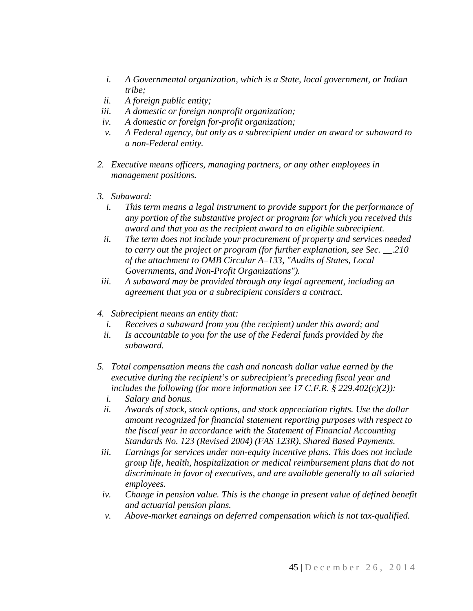- *i. A Governmental organization, which is a State, local government, or Indian tribe;*
- *ii. A foreign public entity;*
- *iii. A domestic or foreign nonprofit organization;*
- *iv. A domestic or foreign for-profit organization;*
- *v. A Federal agency, but only as a subrecipient under an award or subaward to a non-Federal entity.*
- *2. Executive means officers, managing partners, or any other employees in management positions.*
- *3. Subaward:*
	- *i. This term means a legal instrument to provide support for the performance of any portion of the substantive project or program for which you received this award and that you as the recipient award to an eligible subrecipient.*
	- *ii. The term does not include your procurement of property and services needed to carry out the project or program (for further explanation, see Sec. \_\_.210 of the attachment to OMB Circular A–133, "Audits of States, Local Governments, and Non-Profit Organizations").*
- *iii. A subaward may be provided through any legal agreement, including an agreement that you or a subrecipient considers a contract.*
- *4. Subrecipient means an entity that:*
	- *i. Receives a subaward from you (the recipient) under this award; and*
	- *ii. Is accountable to you for the use of the Federal funds provided by the subaward.*
- *5. Total compensation means the cash and noncash dollar value earned by the executive during the recipient's or subrecipient's preceding fiscal year and includes the following (for more information see 17 C.F.R. § 229.402(c)(2)):*
	- *i. Salary and bonus.*
	- *ii. Awards of stock, stock options, and stock appreciation rights. Use the dollar amount recognized for financial statement reporting purposes with respect to the fiscal year in accordance with the Statement of Financial Accounting Standards No. 123 (Revised 2004) (FAS 123R), Shared Based Payments.*
- *iii. Earnings for services under non-equity incentive plans. This does not include group life, health, hospitalization or medical reimbursement plans that do not discriminate in favor of executives, and are available generally to all salaried employees.*
- *iv. Change in pension value. This is the change in present value of defined benefit and actuarial pension plans.*
- *v. Above-market earnings on deferred compensation which is not tax-qualified.*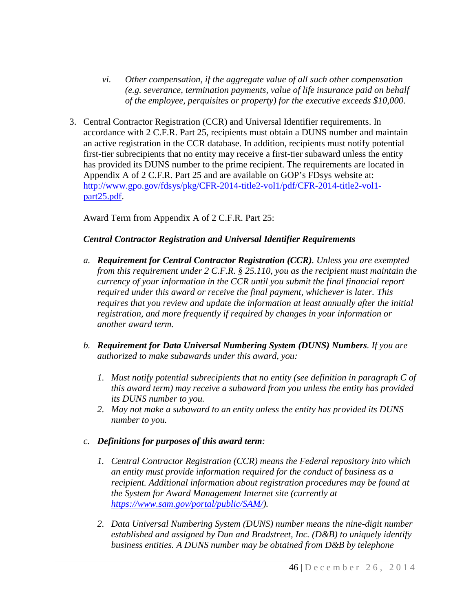- *vi. Other compensation, if the aggregate value of all such other compensation (e.g. severance, termination payments, value of life insurance paid on behalf of the employee, perquisites or property) for the executive exceeds \$10,000.*
- 3. Central Contractor Registration (CCR) and Universal Identifier requirements. In accordance with 2 C.F.R. Part 25, recipients must obtain a DUNS number and maintain an active registration in the CCR database. In addition, recipients must notify potential first-tier subrecipients that no entity may receive a first-tier subaward unless the entity has provided its DUNS number to the prime recipient. The requirements are located in Appendix A of 2 C.F.R. Part 25 and are available on GOP's FDsys website at: [http://www.gpo.gov/fdsys/pkg/CFR-2014-title2-vol1/pdf/CFR-2014-title2-vol1](http://www.gpo.gov/fdsys/pkg/CFR-2014-title2-vol1/pdf/CFR-2014-title2-vol1-part25.pdf) [part25.pdf.](http://www.gpo.gov/fdsys/pkg/CFR-2014-title2-vol1/pdf/CFR-2014-title2-vol1-part25.pdf)

Award Term from Appendix A of 2 C.F.R. Part 25:

#### *Central Contractor Registration and Universal Identifier Requirements*

- *a. Requirement for Central Contractor Registration (CCR). Unless you are exempted from this requirement under 2 C.F.R. § 25.110, you as the recipient must maintain the currency of your information in the CCR until you submit the final financial report required under this award or receive the final payment, whichever is later. This requires that you review and update the information at least annually after the initial registration, and more frequently if required by changes in your information or another award term.*
- *b. Requirement for Data Universal Numbering System (DUNS) Numbers. If you are authorized to make subawards under this award, you:*
	- *1. Must notify potential subrecipients that no entity (see definition in paragraph C of this award term) may receive a subaward from you unless the entity has provided its DUNS number to you.*
	- *2. May not make a subaward to an entity unless the entity has provided its DUNS number to you.*

#### *c. Definitions for purposes of this award term:*

- *1. Central Contractor Registration (CCR) means the Federal repository into which an entity must provide information required for the conduct of business as a recipient. Additional information about registration procedures may be found at the System for Award Management Internet site (currently at [https://www.sam.gov/portal/public/SAM/\)](https://www.sam.gov/portal/public/SAM/).*
- *2. Data Universal Numbering System (DUNS) number means the nine-digit number established and assigned by Dun and Bradstreet, Inc. (D&B) to uniquely identify business entities. A DUNS number may be obtained from D&B by telephone*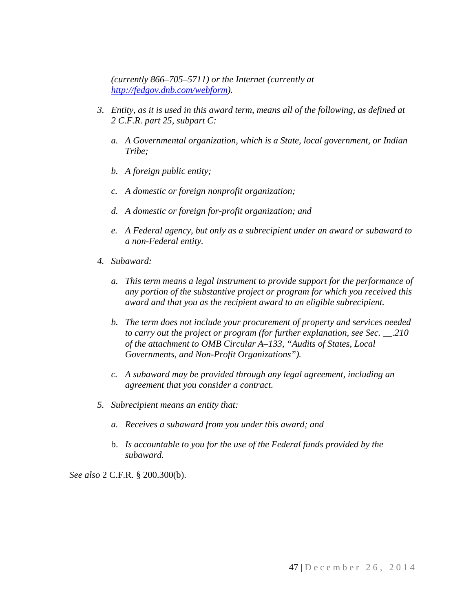*(currently 866–705–5711) or the Internet (currently at [http://fedgov.dnb.com/webform\)](http://fedgov.dnb.com/webform).*

- *3. Entity, as it is used in this award term, means all of the following, as defined at 2 C.F.R. part 25, subpart C:*
	- *a. A Governmental organization, which is a State, local government, or Indian Tribe;*
	- *b. A foreign public entity;*
	- *c. A domestic or foreign nonprofit organization;*
	- *d. A domestic or foreign for-profit organization; and*
	- *e. A Federal agency, but only as a subrecipient under an award or subaward to a non-Federal entity.*
- *4. Subaward:*
	- *a. This term means a legal instrument to provide support for the performance of any portion of the substantive project or program for which you received this award and that you as the recipient award to an eligible subrecipient.*
	- *b. The term does not include your procurement of property and services needed to carry out the project or program (for further explanation, see Sec. \_\_.210 of the attachment to OMB Circular A–133, "Audits of States, Local Governments, and Non-Profit Organizations").*
	- *c. A subaward may be provided through any legal agreement, including an agreement that you consider a contract.*
- *5. Subrecipient means an entity that:*
	- *a. Receives a subaward from you under this award; and*
	- b. *Is accountable to you for the use of the Federal funds provided by the subaward.*

*See also* 2 C.F.R. § 200.300(b).